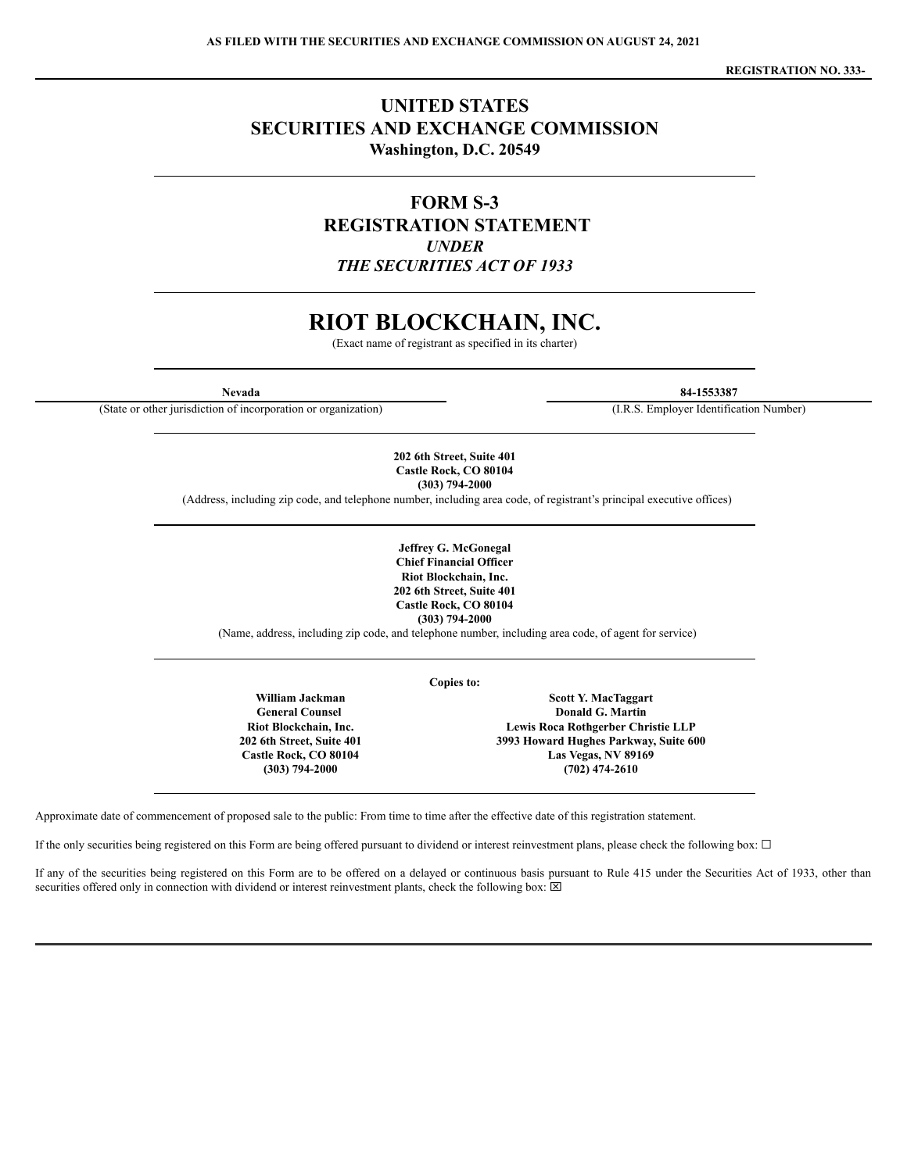# **UNITED STATES SECURITIES AND EXCHANGE COMMISSION Washington, D.C. 20549**

**FORM S-3 REGISTRATION STATEMENT** *UNDER THE SECURITIES ACT OF 1933*

# **RIOT BLOCKCHAIN, INC.**

(Exact name of registrant as specified in its charter)

(State or other jurisdiction of incorporation or organization) (I.R.S. Employer Identification Number)

**202 6th Street, Suite 401 Castle Rock, CO 80104 (303) 794-2000**

(Address, including zip code, and telephone number, including area code, of registrant's principal executive offices)

**Jeffrey G. McGonegal Chief Financial Officer Riot Blockchain, Inc. 202 6th Street, Suite 401 Castle Rock, CO 80104 (303) 794-2000**

(Name, address, including zip code, and telephone number, including area code, of agent for service)

**Copies to:**

**William Jackman General Counsel Riot Blockchain, Inc. 202 6th Street, Suite 401 Castle Rock, CO 80104 (303) 794-2000**

**Scott Y. MacTaggart Donald G. Martin Lewis Roca Rothgerber Christie LLP 3993 Howard Hughes Parkway, Suite 600 Las Vegas, NV 89169 (702) 474-2610**

Approximate date of commencement of proposed sale to the public: From time to time after the effective date of this registration statement.

If the only securities being registered on this Form are being offered pursuant to dividend or interest reinvestment plans, please check the following box: ☐

If any of the securities being registered on this Form are to be offered on a delayed or continuous basis pursuant to Rule 415 under the Securities Act of 1933, other than securities offered only in connection with dividend or interest reinvestment plants, check the following box:  $\boxtimes$ 

**Nevada 84-1553387**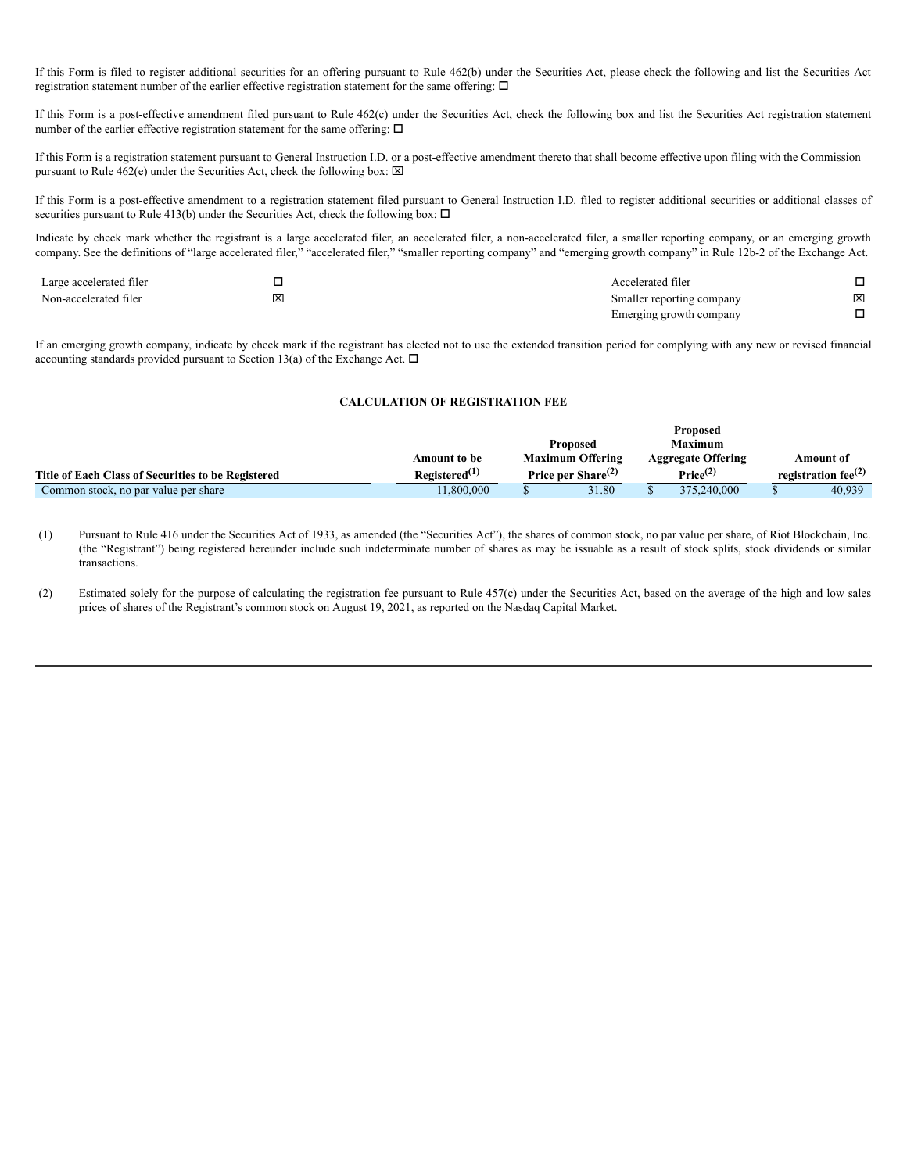If this Form is filed to register additional securities for an offering pursuant to Rule 462(b) under the Securities Act, please check the following and list the Securities Act registration statement number of the earlier effective registration statement for the same offering:  $\Box$ 

If this Form is a post-effective amendment filed pursuant to Rule 462(c) under the Securities Act, check the following box and list the Securities Act registration statement number of the earlier effective registration statement for the same offering:  $\Box$ 

If this Form is a registration statement pursuant to General Instruction I.D. or a post-effective amendment thereto that shall become effective upon filing with the Commission pursuant to Rule 462(e) under the Securities Act, check the following box:  $\boxtimes$ 

If this Form is a post-effective amendment to a registration statement filed pursuant to General Instruction I.D. filed to register additional securities or additional classes of securities pursuant to Rule 413(b) under the Securities Act, check the following box:  $\Box$ 

Indicate by check mark whether the registrant is a large accelerated filer, an accelerated filer, a non-accelerated filer, a smaller reporting company, or an emerging growth company. See the definitions of "large accelerated filer," "accelerated filer," "smaller reporting company" and "emerging growth company" in Rule 12b-2 of the Exchange Act.

| Large accelerated filer |   | Accelerated filer         |   |
|-------------------------|---|---------------------------|---|
| Non-accelerated filer   | ⊠ | Smaller reporting company | 図 |
|                         |   | Emerging growth company   |   |

If an emerging growth company, indicate by check mark if the registrant has elected not to use the extended transition period for complying with any new or revised financial accounting standards provided pursuant to Section 13(a) of the Exchange Act.  $\Box$ 

## **CALCULATION OF REGISTRATION FEE**

|                                                    |                           |                            |  | <b>Proposed</b>           |                           |
|----------------------------------------------------|---------------------------|----------------------------|--|---------------------------|---------------------------|
|                                                    |                           | Maximum<br><b>Proposed</b> |  |                           |                           |
|                                                    | <b>Amount to be</b>       | <b>Maximum Offering</b>    |  | <b>Aggregate Offering</b> | Amount of                 |
| Title of Each Class of Securities to be Registered | Registered <sup>(1)</sup> | Price per Share $(2)$      |  | Price <sup>(2)</sup>      | registration fee $^{(2)}$ |
| Common stock, no par value per share               | .800.000                  | 31.80                      |  | 375,240,000               | 40,939                    |

(1) Pursuant to Rule 416 under the Securities Act of 1933, as amended (the "Securities Act"), the shares of common stock, no par value per share, of Riot Blockchain, Inc. (the "Registrant") being registered hereunder include such indeterminate number of shares as may be issuable as a result of stock splits, stock dividends or similar transactions.

(2) Estimated solely for the purpose of calculating the registration fee pursuant to Rule 457(c) under the Securities Act, based on the average of the high and low sales prices of shares of the Registrant's common stock on August 19, 2021, as reported on the Nasdaq Capital Market.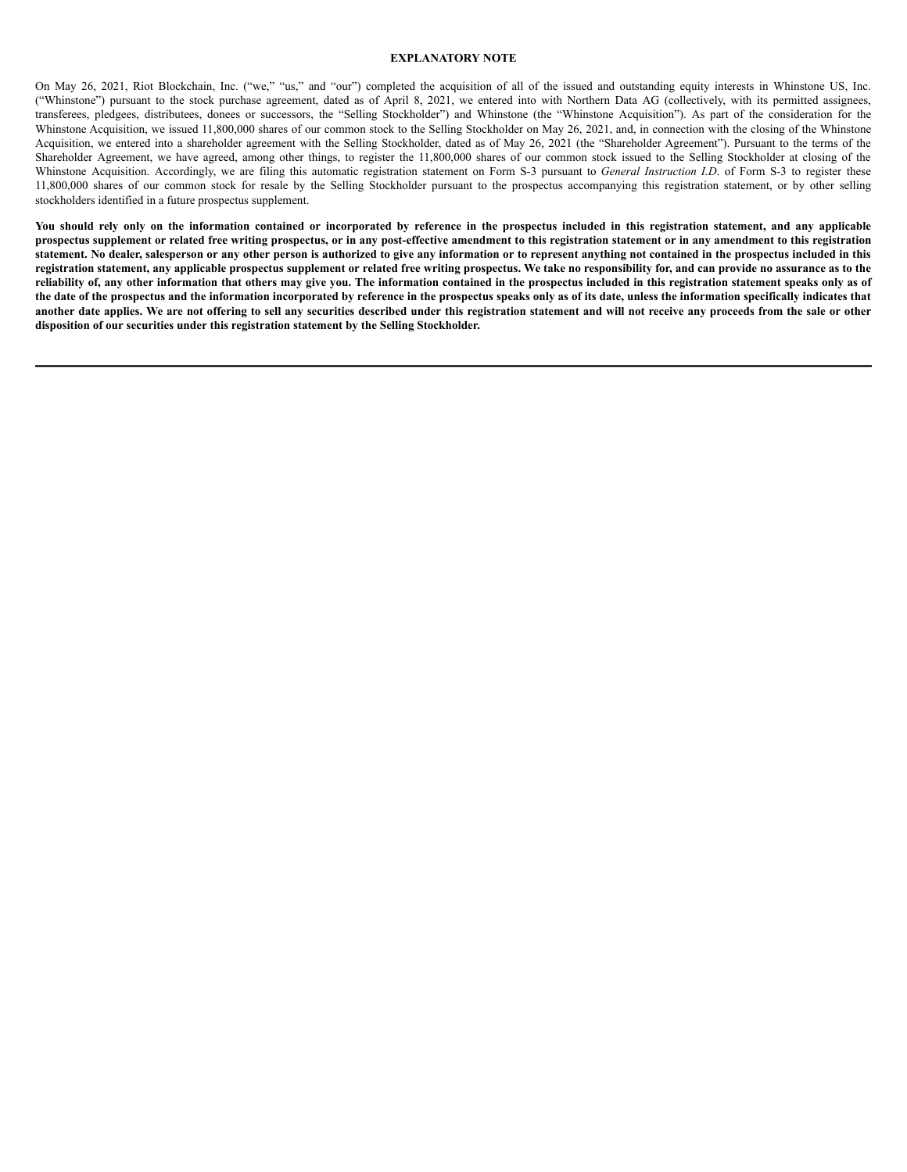#### **EXPLANATORY NOTE**

On May 26, 2021, Riot Blockchain, Inc. ("we," "us," and "our") completed the acquisition of all of the issued and outstanding equity interests in Whinstone US, Inc. ("Whinstone") pursuant to the stock purchase agreement, dated as of April 8, 2021, we entered into with Northern Data AG (collectively, with its permitted assignees, transferees, pledgees, distributees, donees or successors, the "Selling Stockholder") and Whinstone (the "Whinstone Acquisition"). As part of the consideration for the Whinstone Acquisition, we issued 11,800,000 shares of our common stock to the Selling Stockholder on May 26, 2021, and, in connection with the closing of the Whinstone Acquisition, we entered into a shareholder agreement with the Selling Stockholder, dated as of May 26, 2021 (the "Shareholder Agreement"). Pursuant to the terms of the Shareholder Agreement, we have agreed, among other things, to register the 11,800,000 shares of our common stock issued to the Selling Stockholder at closing of the Whinstone Acquisition. Accordingly, we are filing this automatic registration statement on Form S-3 pursuant to *General Instruction I.D*. of Form S-3 to register these 11,800,000 shares of our common stock for resale by the Selling Stockholder pursuant to the prospectus accompanying this registration statement, or by other selling stockholders identified in a future prospectus supplement.

You should rely only on the information contained or incorporated by reference in the prospectus included in this registration statement, and any applicable prospectus supplement or related free writing prospectus, or in any post-effective amendment to this registration statement or in any amendment to this registration statement. No dealer, salesperson or any other person is authorized to give any information or to represent anything not contained in the prospectus included in this registration statement, any applicable prospectus supplement or related free writing prospectus. We take no responsibility for, and can provide no assurance as to the reliability of, any other information that others may give you. The information contained in the prospectus included in this registration statement speaks only as of the date of the prospectus and the information incorporated by reference in the prospectus speaks only as of its date, unless the information specifically indicates that another date applies. We are not offering to sell any securities described under this registration statement and will not receive any proceeds from the sale or other **disposition of our securities under this registration statement by the Selling Stockholder.**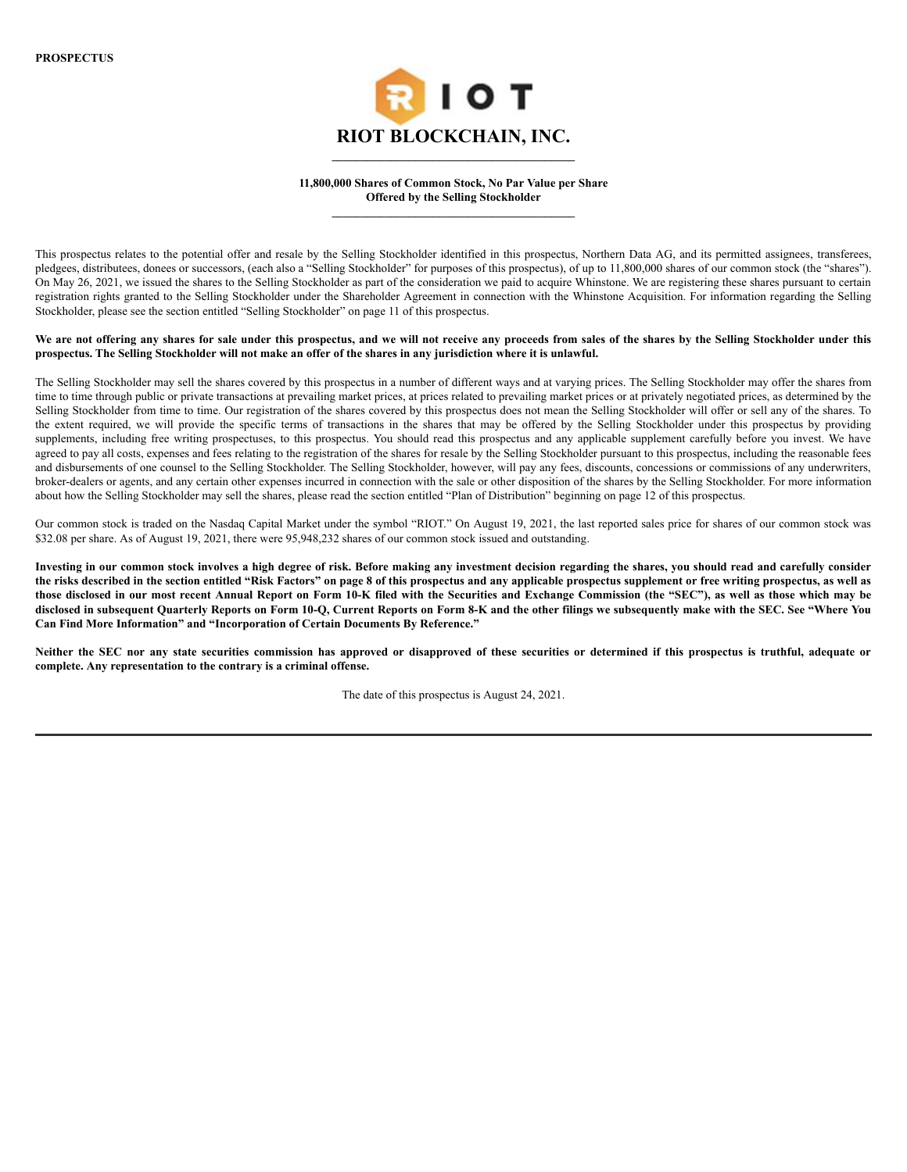

**11,800,000 Shares of Common Stock, No Par Value per Share Offered by the Selling Stockholder \_\_\_\_\_\_\_\_\_\_\_\_\_\_\_\_\_\_\_\_\_\_\_\_\_\_\_\_\_\_\_\_\_\_\_\_\_\_\_\_\_**

This prospectus relates to the potential offer and resale by the Selling Stockholder identified in this prospectus, Northern Data AG, and its permitted assignees, transferees, pledgees, distributees, donees or successors, (each also a "Selling Stockholder" for purposes of this prospectus), of up to 11,800,000 shares of our common stock (the "shares"). On May 26, 2021, we issued the shares to the Selling Stockholder as part of the consideration we paid to acquire Whinstone. We are registering these shares pursuant to certain registration rights granted to the Selling Stockholder under the Shareholder Agreement in connection with the Whinstone Acquisition. For information regarding the Selling Stockholder, please see the section entitled "Selling Stockholder" on page 11 of this prospectus.

#### We are not offering any shares for sale under this prospectus, and we will not receive any proceeds from sales of the shares by the Selling Stockholder under this prospectus. The Selling Stockholder will not make an offer of the shares in any jurisdiction where it is unlawful.

The Selling Stockholder may sell the shares covered by this prospectus in a number of different ways and at varying prices. The Selling Stockholder may offer the shares from time to time through public or private transactions at prevailing market prices, at prices related to prevailing market prices or at privately negotiated prices, as determined by the Selling Stockholder from time to time. Our registration of the shares covered by this prospectus does not mean the Selling Stockholder will offer or sell any of the shares. To the extent required, we will provide the specific terms of transactions in the shares that may be offered by the Selling Stockholder under this prospectus by providing supplements, including free writing prospectuses, to this prospectus. You should read this prospectus and any applicable supplement carefully before you invest. We have agreed to pay all costs, expenses and fees relating to the registration of the shares for resale by the Selling Stockholder pursuant to this prospectus, including the reasonable fees and disbursements of one counsel to the Selling Stockholder. The Selling Stockholder, however, will pay any fees, discounts, concessions or commissions of any underwriters, broker-dealers or agents, and any certain other expenses incurred in connection with the sale or other disposition of the shares by the Selling Stockholder. For more information about how the Selling Stockholder may sell the shares, please read the section entitled "Plan of Distribution" beginning on page 12 of this prospectus.

Our common stock is traded on the Nasdaq Capital Market under the symbol "RIOT." On August 19, 2021, the last reported sales price for shares of our common stock was \$32.08 per share. As of August 19, 2021, there were 95,948,232 shares of our common stock issued and outstanding.

Investing in our common stock involves a high degree of risk. Before making any investment decision regarding the shares, you should read and carefully consider the risks described in the section entitled "Risk Factors" on page 8 of this prospectus and any applicable prospectus supplement or free writing prospectus, as well as those disclosed in our most recent Annual Report on Form 10-K filed with the Securities and Exchange Commission (the "SEC"), as well as those which may be disclosed in subsequent Quarterly Reports on Form 10-Q, Current Reports on Form 8-K and the other filings we subsequently make with the SEC. See "Where You **Can Find More Information" and "Incorporation of Certain Documents By Reference."**

Neither the SEC nor any state securities commission has approved or disapproved of these securities or determined if this prospectus is truthful, adequate or **complete. Any representation to the contrary is a criminal offense.**

The date of this prospectus is August 24, 2021.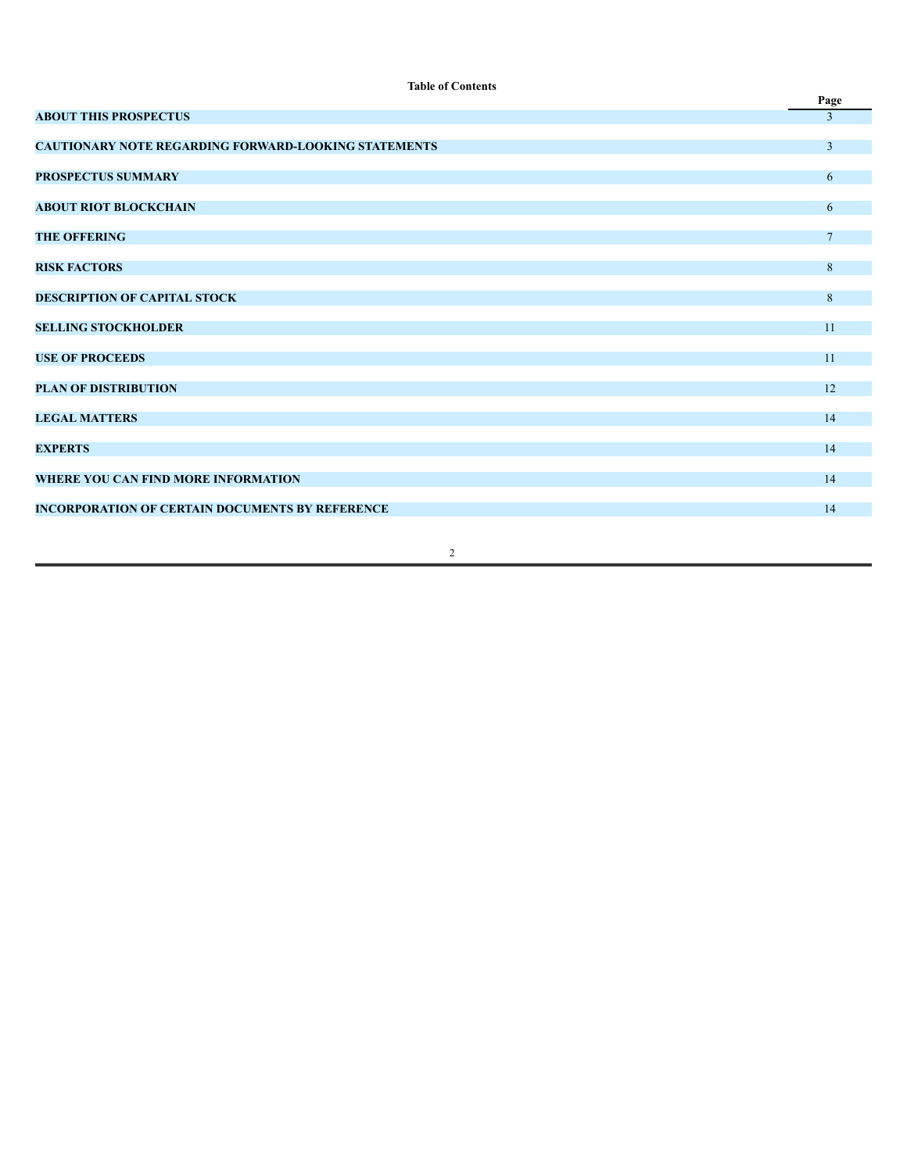|  |  |  | <b>Table of Contents</b> |
|--|--|--|--------------------------|
|--|--|--|--------------------------|

| $\overline{3}$<br><b>ABOUT THIS PROSPECTUS</b><br>$\overline{3}$<br><b>CAUTIONARY NOTE REGARDING FORWARD-LOOKING STATEMENTS</b><br><b>PROSPECTUS SUMMARY</b><br>6<br><b>ABOUT RIOT BLOCKCHAIN</b><br>6<br><b>THE OFFERING</b><br>$7\phantom{.0}$ |  |
|--------------------------------------------------------------------------------------------------------------------------------------------------------------------------------------------------------------------------------------------------|--|
|                                                                                                                                                                                                                                                  |  |
|                                                                                                                                                                                                                                                  |  |
|                                                                                                                                                                                                                                                  |  |
|                                                                                                                                                                                                                                                  |  |
|                                                                                                                                                                                                                                                  |  |
| 8<br><b>RISK FACTORS</b>                                                                                                                                                                                                                         |  |
| <b>DESCRIPTION OF CAPITAL STOCK</b><br>8                                                                                                                                                                                                         |  |
| <b>SELLING STOCKHOLDER</b><br>11                                                                                                                                                                                                                 |  |
| <b>USE OF PROCEEDS</b><br>11                                                                                                                                                                                                                     |  |
| 12<br><b>PLAN OF DISTRIBUTION</b>                                                                                                                                                                                                                |  |
| <b>LEGAL MATTERS</b><br>14                                                                                                                                                                                                                       |  |
| 14<br><b>EXPERTS</b>                                                                                                                                                                                                                             |  |
| <b>WHERE YOU CAN FIND MORE INFORMATION</b><br>14                                                                                                                                                                                                 |  |
| <b>INCORPORATION OF CERTAIN DOCUMENTS BY REFERENCE</b><br>14                                                                                                                                                                                     |  |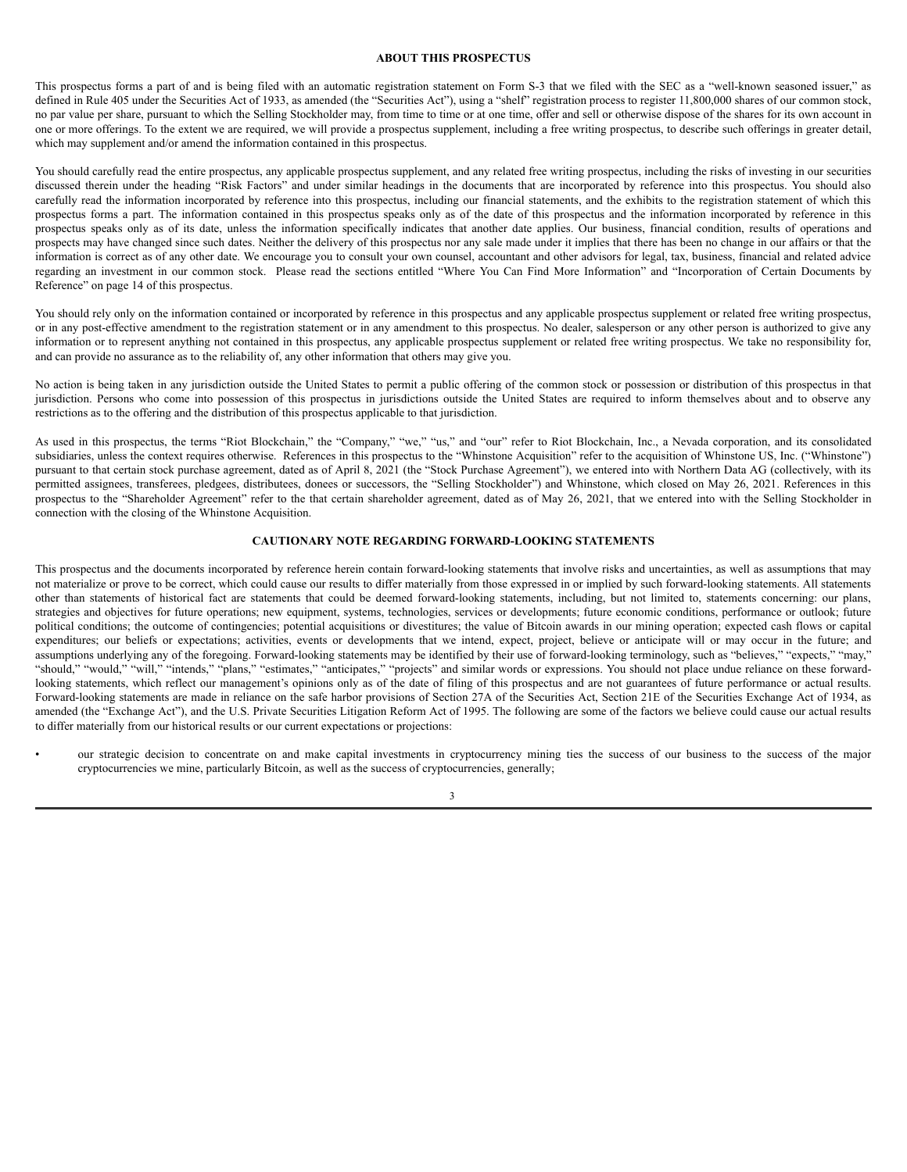#### **ABOUT THIS PROSPECTUS**

This prospectus forms a part of and is being filed with an automatic registration statement on Form S-3 that we filed with the SEC as a "well-known seasoned issuer," as defined in Rule 405 under the Securities Act of 1933, as amended (the "Securities Act"), using a "shelf" registration process to register 11,800,000 shares of our common stock, no par value per share, pursuant to which the Selling Stockholder may, from time to time or at one time, offer and sell or otherwise dispose of the shares for its own account in one or more offerings. To the extent we are required, we will provide a prospectus supplement, including a free writing prospectus, to describe such offerings in greater detail, which may supplement and/or amend the information contained in this prospectus.

You should carefully read the entire prospectus, any applicable prospectus supplement, and any related free writing prospectus, including the risks of investing in our securities discussed therein under the heading "Risk Factors" and under similar headings in the documents that are incorporated by reference into this prospectus. You should also carefully read the information incorporated by reference into this prospectus, including our financial statements, and the exhibits to the registration statement of which this prospectus forms a part. The information contained in this prospectus speaks only as of the date of this prospectus and the information incorporated by reference in this prospectus speaks only as of its date, unless the information specifically indicates that another date applies. Our business, financial condition, results of operations and prospects may have changed since such dates. Neither the delivery of this prospectus nor any sale made under it implies that there has been no change in our affairs or that the information is correct as of any other date. We encourage you to consult your own counsel, accountant and other advisors for legal, tax, business, financial and related advice regarding an investment in our common stock. Please read the sections entitled "Where You Can Find More Information" and "Incorporation of Certain Documents by Reference" on page 14 of this prospectus.

You should rely only on the information contained or incorporated by reference in this prospectus and any applicable prospectus supplement or related free writing prospectus, or in any post-effective amendment to the registration statement or in any amendment to this prospectus. No dealer, salesperson or any other person is authorized to give any information or to represent anything not contained in this prospectus, any applicable prospectus supplement or related free writing prospectus. We take no responsibility for, and can provide no assurance as to the reliability of, any other information that others may give you.

No action is being taken in any jurisdiction outside the United States to permit a public offering of the common stock or possession or distribution of this prospectus in that jurisdiction. Persons who come into possession of this prospectus in jurisdictions outside the United States are required to inform themselves about and to observe any restrictions as to the offering and the distribution of this prospectus applicable to that jurisdiction.

As used in this prospectus, the terms "Riot Blockchain," the "Company," "we," "us," and "our" refer to Riot Blockchain, Inc., a Nevada corporation, and its consolidated subsidiaries, unless the context requires otherwise. References in this prospectus to the "Whinstone Acquisition" refer to the acquisition of Whinstone US, Inc. ("Whinstone") pursuant to that certain stock purchase agreement, dated as of April 8, 2021 (the "Stock Purchase Agreement"), we entered into with Northern Data AG (collectively, with its permitted assignees, transferees, pledgees, distributees, donees or successors, the "Selling Stockholder") and Whinstone, which closed on May 26, 2021. References in this prospectus to the "Shareholder Agreement" refer to the that certain shareholder agreement, dated as of May 26, 2021, that we entered into with the Selling Stockholder in connection with the closing of the Whinstone Acquisition.

## **CAUTIONARY NOTE REGARDING FORWARD-LOOKING STATEMENTS**

This prospectus and the documents incorporated by reference herein contain forward-looking statements that involve risks and uncertainties, as well as assumptions that may not materialize or prove to be correct, which could cause our results to differ materially from those expressed in or implied by such forward-looking statements. All statements other than statements of historical fact are statements that could be deemed forward-looking statements, including, but not limited to, statements concerning: our plans, strategies and objectives for future operations; new equipment, systems, technologies, services or developments; future economic conditions, performance or outlook; future political conditions; the outcome of contingencies; potential acquisitions or divestitures; the value of Bitcoin awards in our mining operation; expected cash flows or capital expenditures; our beliefs or expectations; activities, events or developments that we intend, expect, project, believe or anticipate will or may occur in the future; and assumptions underlying any of the foregoing. Forward-looking statements may be identified by their use of forward-looking terminology, such as "believes," "expects," "may," "should," "would," "will," "intends," "plans," "estimates," "anticipates," "projects" and similar words or expressions. You should not place undue reliance on these forwardlooking statements, which reflect our management's opinions only as of the date of filing of this prospectus and are not guarantees of future performance or actual results. Forward-looking statements are made in reliance on the safe harbor provisions of Section 27A of the Securities Act, Section 21E of the Securities Exchange Act of 1934, as amended (the "Exchange Act"), and the U.S. Private Securities Litigation Reform Act of 1995. The following are some of the factors we believe could cause our actual results to differ materially from our historical results or our current expectations or projections:

• our strategic decision to concentrate on and make capital investments in cryptocurrency mining ties the success of our business to the success of the major cryptocurrencies we mine, particularly Bitcoin, as well as the success of cryptocurrencies, generally;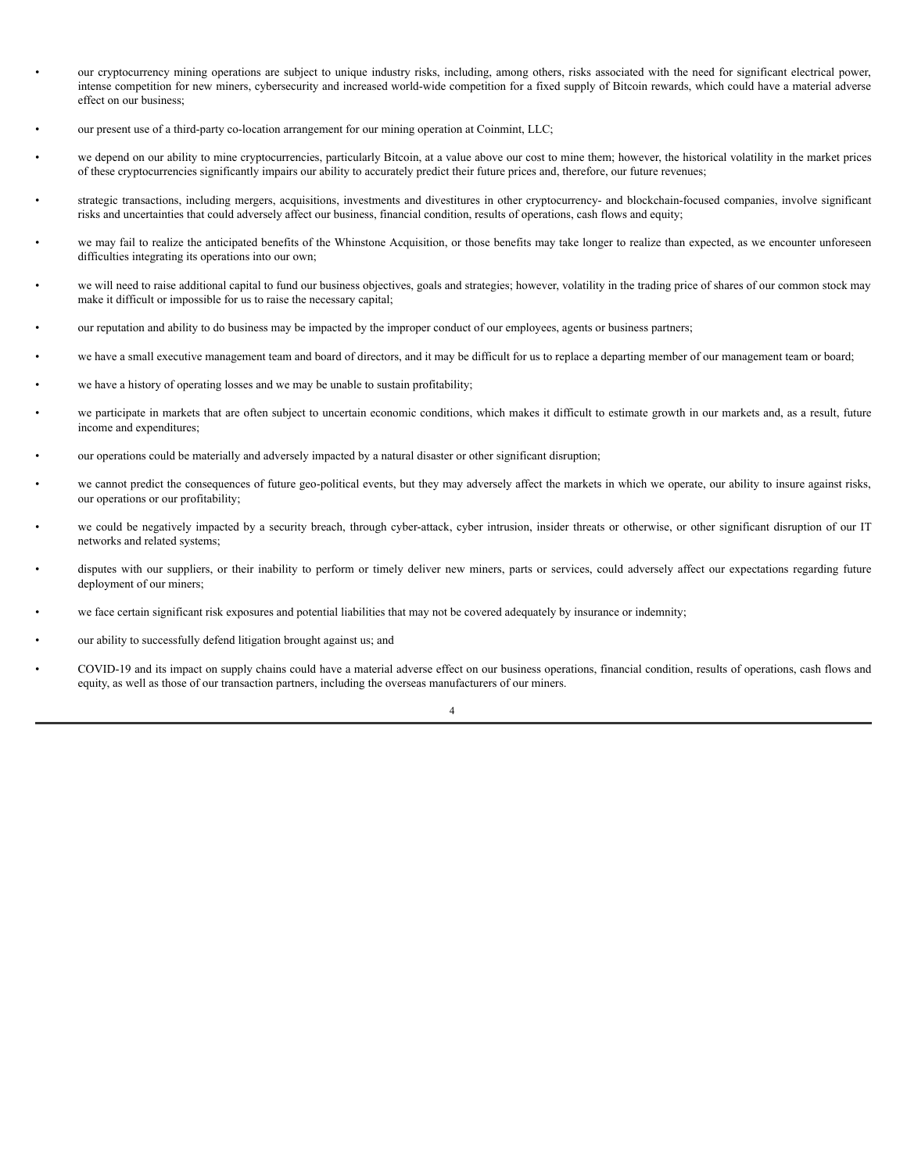- our cryptocurrency mining operations are subject to unique industry risks, including, among others, risks associated with the need for significant electrical power, intense competition for new miners, cybersecurity and increased world-wide competition for a fixed supply of Bitcoin rewards, which could have a material adverse effect on our business;
- our present use of a third-party co-location arrangement for our mining operation at Coinmint, LLC;
- we depend on our ability to mine cryptocurrencies, particularly Bitcoin, at a value above our cost to mine them; however, the historical volatility in the market prices of these cryptocurrencies significantly impairs our ability to accurately predict their future prices and, therefore, our future revenues;
- strategic transactions, including mergers, acquisitions, investments and divestitures in other cryptocurrency- and blockchain-focused companies, involve significant risks and uncertainties that could adversely affect our business, financial condition, results of operations, cash flows and equity;
- we may fail to realize the anticipated benefits of the Whinstone Acquisition, or those benefits may take longer to realize than expected, as we encounter unforeseen difficulties integrating its operations into our own;
- we will need to raise additional capital to fund our business objectives, goals and strategies; however, volatility in the trading price of shares of our common stock may make it difficult or impossible for us to raise the necessary capital;
- our reputation and ability to do business may be impacted by the improper conduct of our employees, agents or business partners;
- we have a small executive management team and board of directors, and it may be difficult for us to replace a departing member of our management team or board;
- we have a history of operating losses and we may be unable to sustain profitability;
- we participate in markets that are often subject to uncertain economic conditions, which makes it difficult to estimate growth in our markets and, as a result, future income and expenditures;
- our operations could be materially and adversely impacted by a natural disaster or other significant disruption;
- we cannot predict the consequences of future geo-political events, but they may adversely affect the markets in which we operate, our ability to insure against risks, our operations or our profitability;
- we could be negatively impacted by a security breach, through cyber-attack, cyber intrusion, insider threats or otherwise, or other significant disruption of our IT networks and related systems;
- disputes with our suppliers, or their inability to perform or timely deliver new miners, parts or services, could adversely affect our expectations regarding future deployment of our miners;
- we face certain significant risk exposures and potential liabilities that may not be covered adequately by insurance or indemnity;
- our ability to successfully defend litigation brought against us; and
- COVID-19 and its impact on supply chains could have a material adverse effect on our business operations, financial condition, results of operations, cash flows and equity, as well as those of our transaction partners, including the overseas manufacturers of our miners.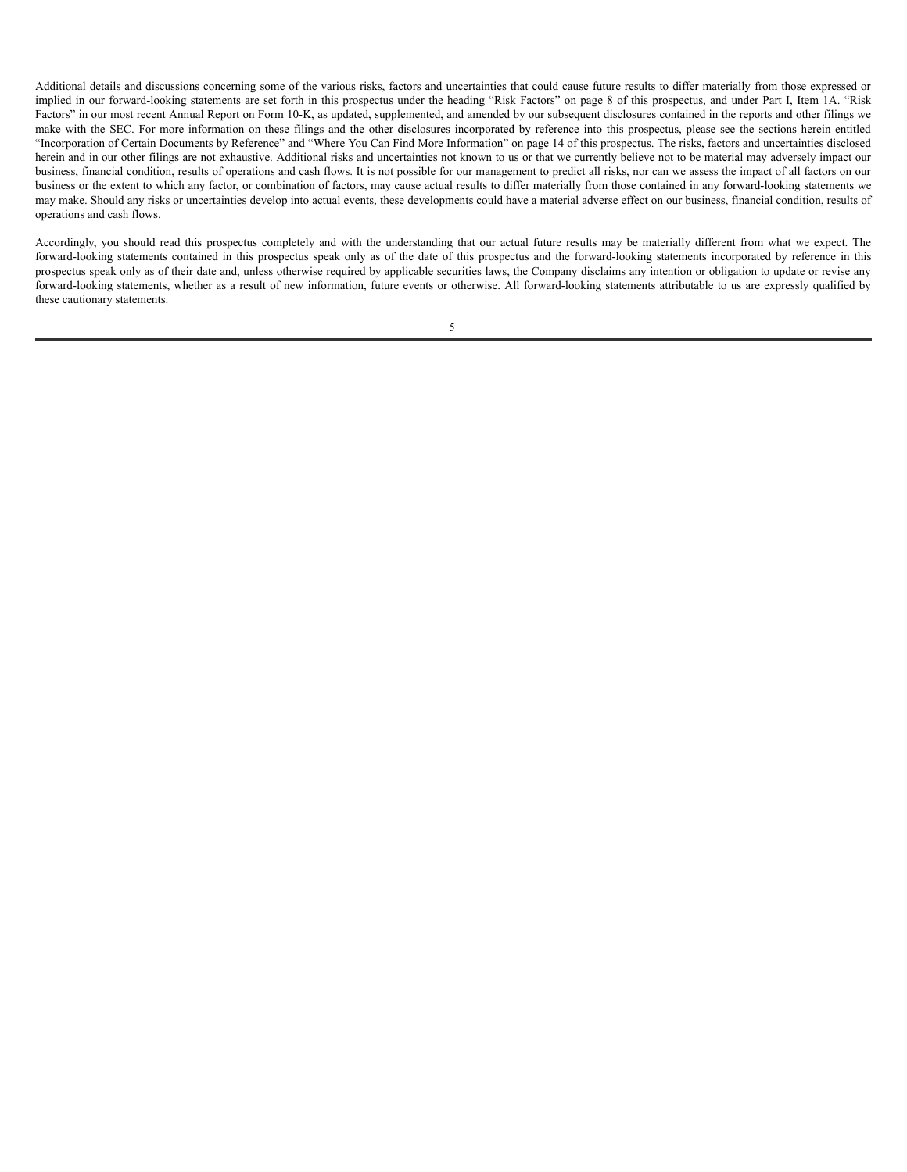Additional details and discussions concerning some of the various risks, factors and uncertainties that could cause future results to differ materially from those expressed or implied in our forward-looking statements are set forth in this prospectus under the heading "Risk Factors" on page 8 of this prospectus, and under Part I, Item 1A. "Risk Factors" in our most recent Annual Report on Form 10-K, as updated, supplemented, and amended by our subsequent disclosures contained in the reports and other filings we make with the SEC. For more information on these filings and the other disclosures incorporated by reference into this prospectus, please see the sections herein entitled "Incorporation of Certain Documents by Reference" and "Where You Can Find More Information" on page 14 of this prospectus. The risks, factors and uncertainties disclosed herein and in our other filings are not exhaustive. Additional risks and uncertainties not known to us or that we currently believe not to be material may adversely impact our business, financial condition, results of operations and cash flows. It is not possible for our management to predict all risks, nor can we assess the impact of all factors on our business or the extent to which any factor, or combination of factors, may cause actual results to differ materially from those contained in any forward-looking statements we may make. Should any risks or uncertainties develop into actual events, these developments could have a material adverse effect on our business, financial condition, results of operations and cash flows.

Accordingly, you should read this prospectus completely and with the understanding that our actual future results may be materially different from what we expect. The forward-looking statements contained in this prospectus speak only as of the date of this prospectus and the forward-looking statements incorporated by reference in this prospectus speak only as of their date and, unless otherwise required by applicable securities laws, the Company disclaims any intention or obligation to update or revise any forward-looking statements, whether as a result of new information, future events or otherwise. All forward-looking statements attributable to us are expressly qualified by these cautionary statements.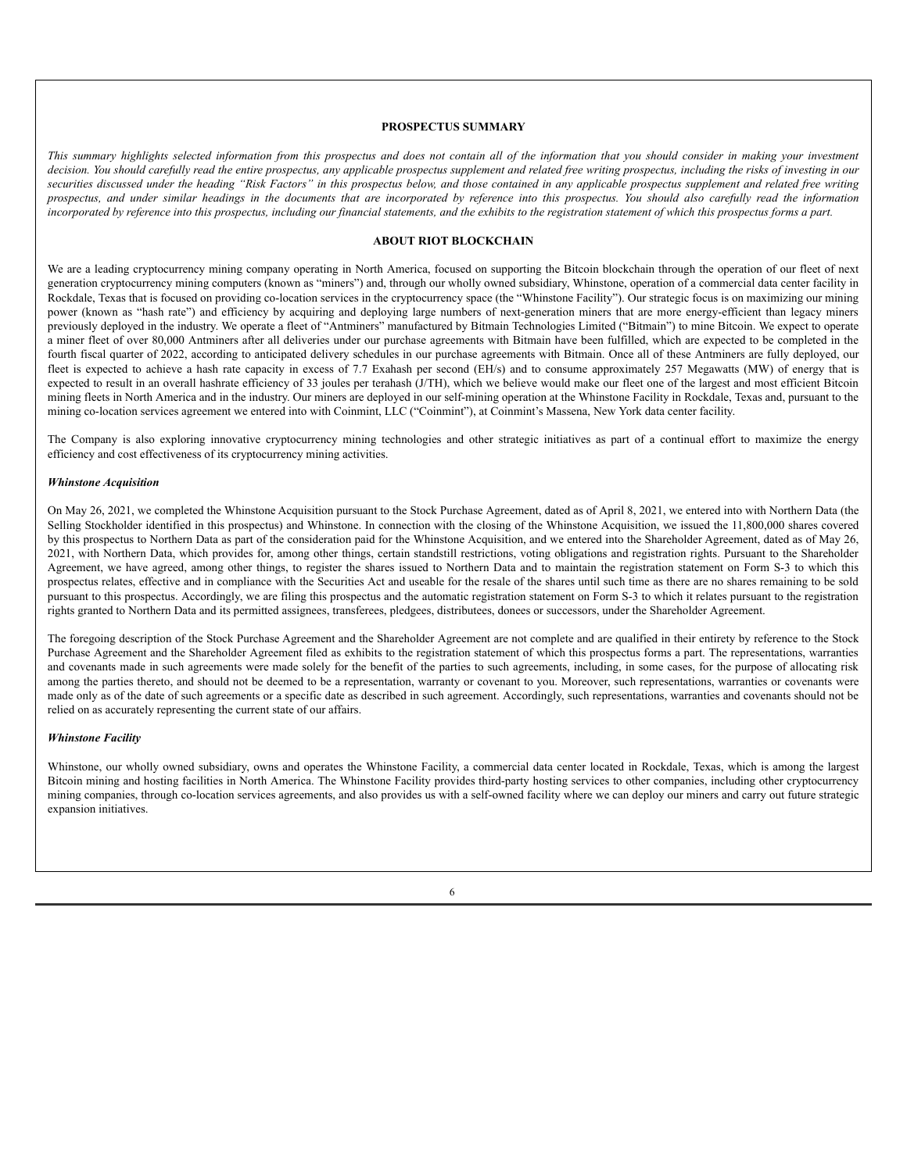## **PROSPECTUS SUMMARY**

This summary highlights selected information from this prospectus and does not contain all of the information that you should consider in making your investment decision. You should carefully read the entire prospectus, any applicable prospectus supplement and related free writing prospectus, including the risks of investing in our securities discussed under the heading "Risk Factors" in this prospectus below, and those contained in any applicable prospectus supplement and related free writing prospectus, and under similar headings in the documents that are incorporated by reference into this prospectus. You should also carefully read the information incorporated by reference into this prospectus, including our financial statements, and the exhibits to the registration statement of which this prospectus forms a part.

#### **ABOUT RIOT BLOCKCHAIN**

We are a leading cryptocurrency mining company operating in North America, focused on supporting the Bitcoin blockchain through the operation of our fleet of next generation cryptocurrency mining computers (known as "miners") and, through our wholly owned subsidiary, Whinstone, operation of a commercial data center facility in Rockdale. Texas that is focused on providing co-location services in the cryptocurrency space (the "Whinstone Facility"). Our strategic focus is on maximizing our mining power (known as "hash rate") and efficiency by acquiring and deploying large numbers of next-generation miners that are more energy-efficient than legacy miners previously deployed in the industry. We operate a fleet of "Antminers" manufactured by Bitmain Technologies Limited ("Bitmain") to mine Bitcoin. We expect to operate a miner fleet of over 80,000 Antminers after all deliveries under our purchase agreements with Bitmain have been fulfilled, which are expected to be completed in the fourth fiscal quarter of 2022, according to anticipated delivery schedules in our purchase agreements with Bitmain. Once all of these Antminers are fully deployed, our fleet is expected to achieve a hash rate capacity in excess of 7.7 Exahash per second (EH/s) and to consume approximately 257 Megawatts (MW) of energy that is expected to result in an overall hashrate efficiency of 33 joules per terahash (J/TH), which we believe would make our fleet one of the largest and most efficient Bitcoin mining fleets in North America and in the industry. Our miners are deployed in our self-mining operation at the Whinstone Facility in Rockdale, Texas and, pursuant to the mining co-location services agreement we entered into with Coinmint, LLC ("Coinmint"), at Coinmint's Massena, New York data center facility.

The Company is also exploring innovative cryptocurrency mining technologies and other strategic initiatives as part of a continual effort to maximize the energy efficiency and cost effectiveness of its cryptocurrency mining activities.

#### *Whinstone Acquisition*

On May 26, 2021, we completed the Whinstone Acquisition pursuant to the Stock Purchase Agreement, dated as of April 8, 2021, we entered into with Northern Data (the Selling Stockholder identified in this prospectus) and Whinstone. In connection with the closing of the Whinstone Acquisition, we issued the 11,800,000 shares covered by this prospectus to Northern Data as part of the consideration paid for the Whinstone Acquisition, and we entered into the Shareholder Agreement, dated as of May 26, 2021, with Northern Data, which provides for, among other things, certain standstill restrictions, voting obligations and registration rights. Pursuant to the Shareholder Agreement, we have agreed, among other things, to register the shares issued to Northern Data and to maintain the registration statement on Form S-3 to which this prospectus relates, effective and in compliance with the Securities Act and useable for the resale of the shares until such time as there are no shares remaining to be sold pursuant to this prospectus. Accordingly, we are filing this prospectus and the automatic registration statement on Form S-3 to which it relates pursuant to the registration rights granted to Northern Data and its permitted assignees, transferees, pledgees, distributees, donees or successors, under the Shareholder Agreement.

The foregoing description of the Stock Purchase Agreement and the Shareholder Agreement are not complete and are qualified in their entirety by reference to the Stock Purchase Agreement and the Shareholder Agreement filed as exhibits to the registration statement of which this prospectus forms a part. The representations, warranties and covenants made in such agreements were made solely for the benefit of the parties to such agreements, including, in some cases, for the purpose of allocating risk among the parties thereto, and should not be deemed to be a representation, warranty or covenant to you. Moreover, such representations, warranties or covenants were made only as of the date of such agreements or a specific date as described in such agreement. Accordingly, such representations, warranties and covenants should not be relied on as accurately representing the current state of our affairs.

#### *Whinstone Facility*

Whinstone, our wholly owned subsidiary, owns and operates the Whinstone Facility, a commercial data center located in Rockdale, Texas, which is among the largest Bitcoin mining and hosting facilities in North America. The Whinstone Facility provides third-party hosting services to other companies, including other cryptocurrency mining companies, through co-location services agreements, and also provides us with a self-owned facility where we can deploy our miners and carry out future strategic expansion initiatives.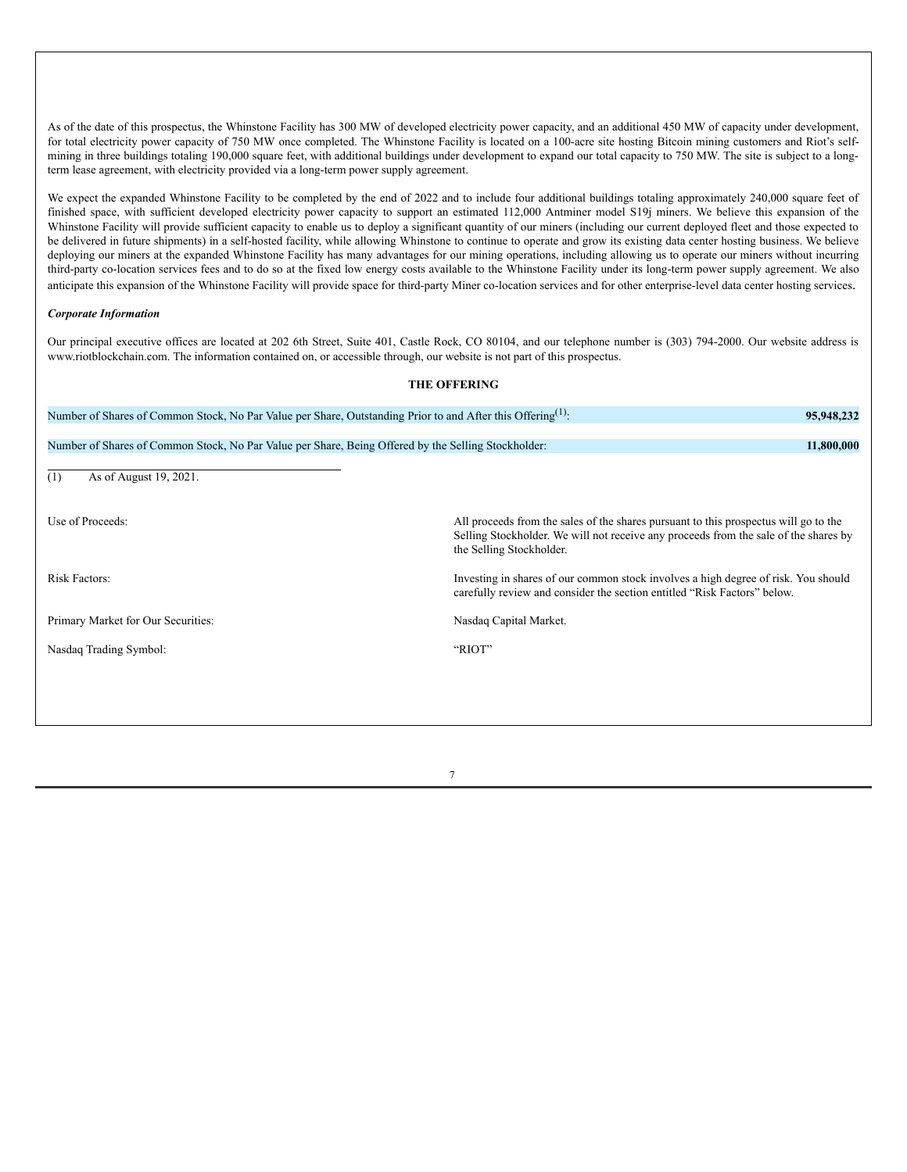As of the date of this prospectus, the Whinstone Facility has 300 MW of developed electricity power capacity, and an additional 450 MW of capacity under development, for total electricity power capacity of 750 MW once completed. The Whinstone Facility is located on a 100-acre site hosting Bitcoin mining customers and Riot's selfmining in three buildings totaling 190,000 square feet, with additional buildings under development to expand our total capacity to 750 MW. The site is subject to a longterm lease agreement, with electricity provided via a long-term power supply agreement.

We expect the expanded Whinstone Facility to be completed by the end of 2022 and to include four additional buildings totaling approximately 240,000 square feet of finished space, with sufficient developed electricity power capacity to support an estimated 112,000 Antminer model S19j miners. We believe this expansion of the Whinstone Facility will provide sufficient capacity to enable us to deploy a significant quantity of our miners (including our current deployed fleet and those expected to be delivered in future shipments) in a self-hosted facility, while allowing Whinstone to continue to operate and grow its existing data center hosting business. We believe deploying our miners at the expanded Whinstone Facility has many advantages for our mining operations, including allowing us to operate our miners without incurring third-party co-location services fees and to do so at the fixed low energy costs available to the Whinstone Facility under its long-term power supply agreement. We also anticipate this expansion of the Whinstone Facility will provide space for third-party Miner co-location services and for other enterprise-level data center hosting services.

#### *Corporate Information*

Our principal executive offices are located at 202 6th Street, Suite 401, Castle Rock, CO 80104, and our telephone number is (303) 794-2000. Our website address is www.riotblockchain.com. The information contained on, or accessible through, our website is not part of this prospectus.

## **THE OFFERING**

| Number of Shares of Common Stock, No Par Value per Share, Outstanding Prior to and After this Offering <sup>(1)</sup> :<br>95,948,232 |                                                                                                                                                                                                          |  |
|---------------------------------------------------------------------------------------------------------------------------------------|----------------------------------------------------------------------------------------------------------------------------------------------------------------------------------------------------------|--|
| Number of Shares of Common Stock, No Par Value per Share, Being Offered by the Selling Stockholder:                                   | 11,800,000                                                                                                                                                                                               |  |
| As of August 19, 2021.<br>(1)                                                                                                         |                                                                                                                                                                                                          |  |
| Use of Proceeds:                                                                                                                      | All proceeds from the sales of the shares pursuant to this prospectus will go to the<br>Selling Stockholder. We will not receive any proceeds from the sale of the shares by<br>the Selling Stockholder. |  |
| Risk Factors:                                                                                                                         | Investing in shares of our common stock involves a high degree of risk. You should<br>carefully review and consider the section entitled "Risk Factors" below.                                           |  |
| Primary Market for Our Securities:                                                                                                    | Nasdaq Capital Market.                                                                                                                                                                                   |  |
| Nasdaq Trading Symbol:                                                                                                                | "RIOT"                                                                                                                                                                                                   |  |
|                                                                                                                                       |                                                                                                                                                                                                          |  |
|                                                                                                                                       |                                                                                                                                                                                                          |  |

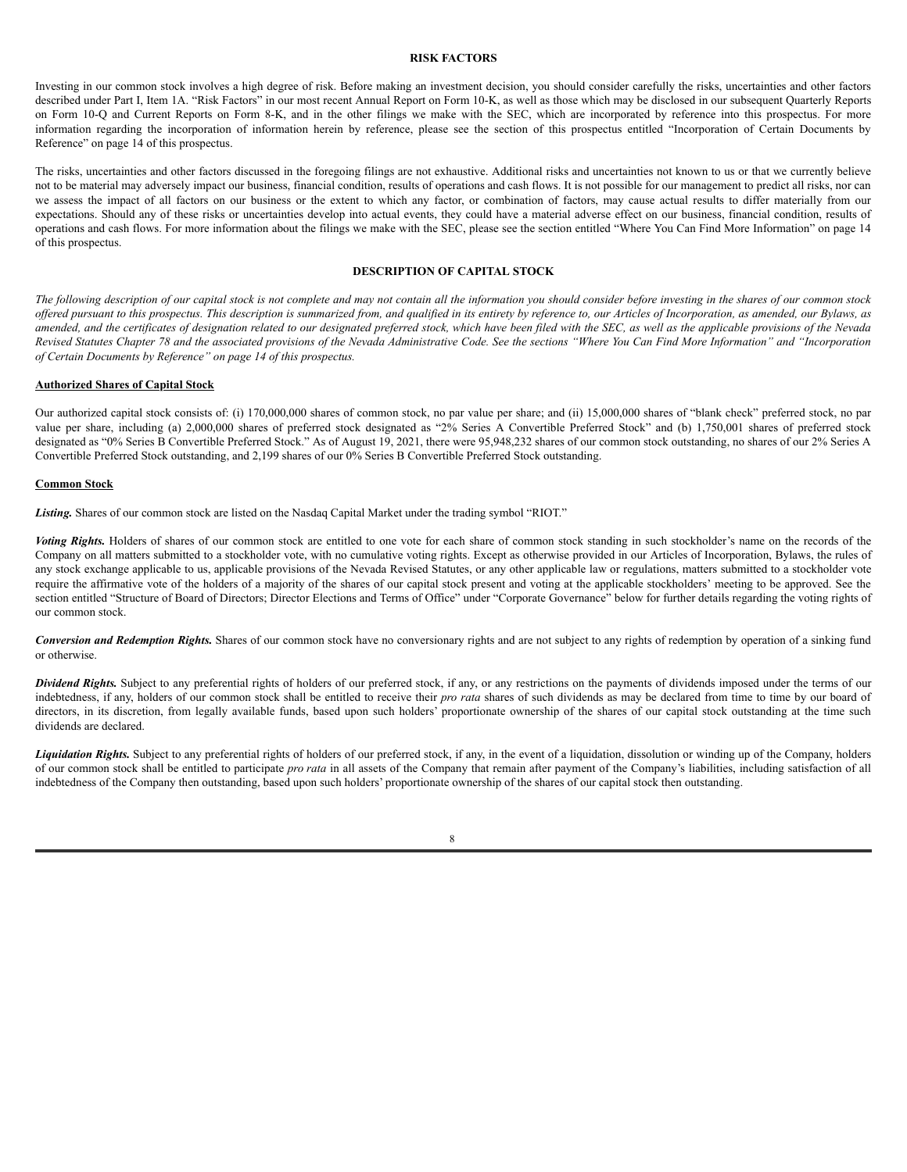#### **RISK FACTORS**

Investing in our common stock involves a high degree of risk. Before making an investment decision, you should consider carefully the risks, uncertainties and other factors described under Part I, Item 1A. "Risk Factors" in our most recent Annual Report on Form 10-K, as well as those which may be disclosed in our subsequent Quarterly Reports on Form 10-Q and Current Reports on Form 8-K, and in the other filings we make with the SEC, which are incorporated by reference into this prospectus. For more information regarding the incorporation of information herein by reference, please see the section of this prospectus entitled "Incorporation of Certain Documents by Reference" on page 14 of this prospectus.

The risks, uncertainties and other factors discussed in the foregoing filings are not exhaustive. Additional risks and uncertainties not known to us or that we currently believe not to be material may adversely impact our business, financial condition, results of operations and cash flows. It is not possible for our management to predict all risks, nor can we assess the impact of all factors on our business or the extent to which any factor, or combination of factors, may cause actual results to differ materially from our expectations. Should any of these risks or uncertainties develop into actual events, they could have a material adverse effect on our business, financial condition, results of operations and cash flows. For more information about the filings we make with the SEC, please see the section entitled "Where You Can Find More Information" on page 14 of this prospectus.

#### **DESCRIPTION OF CAPITAL STOCK**

The following description of our capital stock is not complete and may not contain all the information you should consider before investing in the shares of our common stock offered pursuant to this prospectus. This description is summarized from, and qualified in its entirety by reference to, our Articles of Incorporation, as amended, our Bylaws, as amended, and the certificates of designation related to our designated preferred stock, which have been filed with the SEC, as well as the applicable provisions of the Nevada Revised Statutes Chapter 78 and the associated provisions of the Nevada Administrative Code. See the sections "Where You Can Find More Information" and "Incorporation *of Certain Documents by Reference" on page 14 of this prospectus.*

#### **Authorized Shares of Capital Stock**

Our authorized capital stock consists of: (i) 170,000,000 shares of common stock, no par value per share; and (ii) 15,000,000 shares of "blank check" preferred stock, no par value per share, including (a) 2,000,000 shares of preferred stock designated as "2% Series A Convertible Preferred Stock" and (b) 1,750,001 shares of preferred stock designated as "0% Series B Convertible Preferred Stock." As of August 19, 2021, there were 95,948,232 shares of our common stock outstanding, no shares of our 2% Series A Convertible Preferred Stock outstanding, and 2,199 shares of our 0% Series B Convertible Preferred Stock outstanding.

#### **Common Stock**

*Listing.* Shares of our common stock are listed on the Nasdaq Capital Market under the trading symbol "RIOT."

*Voting Rights.* Holders of shares of our common stock are entitled to one vote for each share of common stock standing in such stockholder's name on the records of the Company on all matters submitted to a stockholder vote, with no cumulative voting rights. Except as otherwise provided in our Articles of Incorporation, Bylaws, the rules of any stock exchange applicable to us, applicable provisions of the Nevada Revised Statutes, or any other applicable law or regulations, matters submitted to a stockholder vote require the affirmative vote of the holders of a majority of the shares of our capital stock present and voting at the applicable stockholders' meeting to be approved. See the section entitled "Structure of Board of Directors; Director Elections and Terms of Office" under "Corporate Governance" below for further details regarding the voting rights of our common stock.

*Conversion and Redemption Rights.* Shares of our common stock have no conversionary rights and are not subject to any rights of redemption by operation of a sinking fund or otherwise.

*Dividend Rights.* Subject to any preferential rights of holders of our preferred stock, if any, or any restrictions on the payments of dividends imposed under the terms of our indebtedness, if any, holders of our common stock shall be entitled to receive their *pro rata* shares of such dividends as may be declared from time to time by our board of directors, in its discretion, from legally available funds, based upon such holders' proportionate ownership of the shares of our capital stock outstanding at the time such dividends are declared.

*Liquidation Rights.* Subject to any preferential rights of holders of our preferred stock, if any, in the event of a liquidation, dissolution or winding up of the Company, holders of our common stock shall be entitled to participate *pro rata* in all assets of the Company that remain after payment of the Company's liabilities, including satisfaction of all indebtedness of the Company then outstanding, based upon such holders' proportionate ownership of the shares of our capital stock then outstanding.

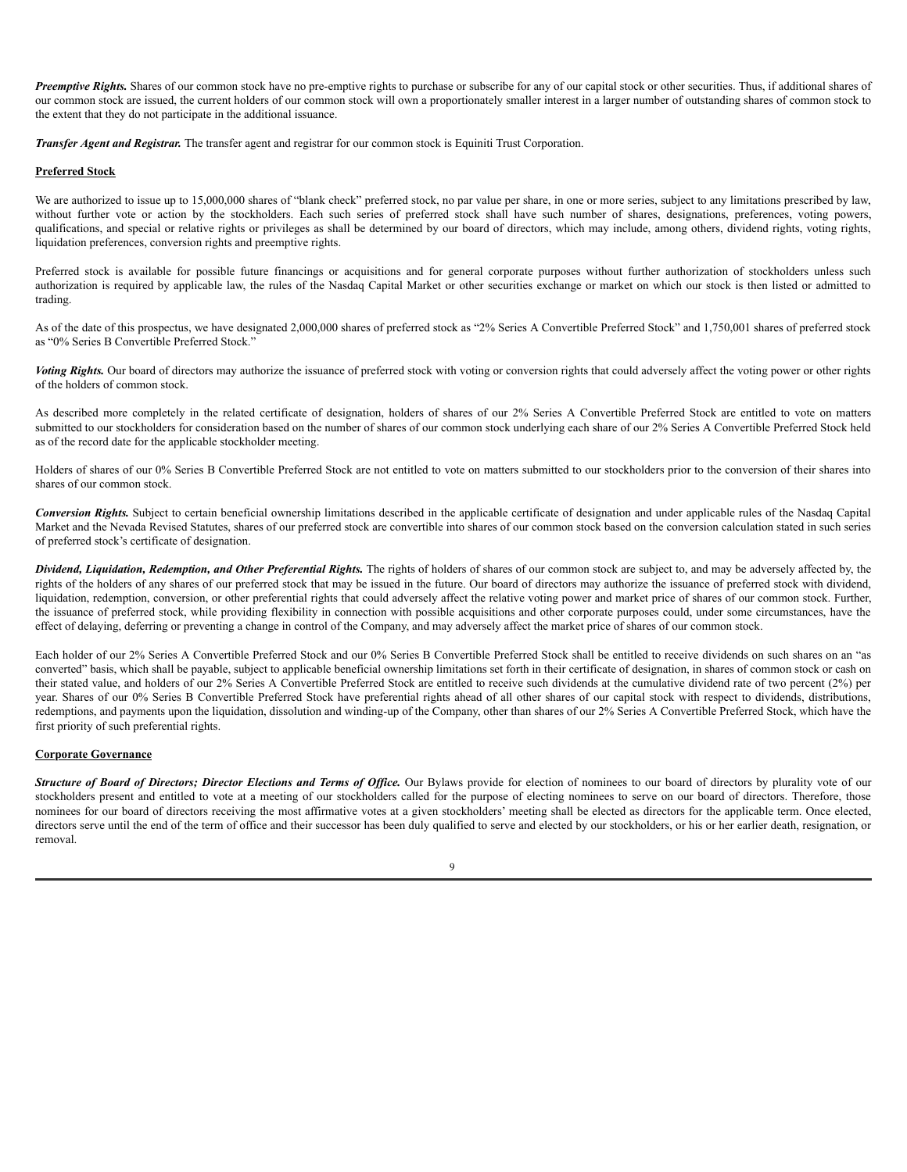*Preemptive Rights*. Shares of our common stock have no pre-emptive rights to purchase or subscribe for any of our capital stock or other securities. Thus, if additional shares of our common stock are issued, the current holders of our common stock will own a proportionately smaller interest in a larger number of outstanding shares of common stock to the extent that they do not participate in the additional issuance.

*Transfer Agent and Registrar.* The transfer agent and registrar for our common stock is Equiniti Trust Corporation.

#### **Preferred Stock**

We are authorized to issue up to 15,000,000 shares of "blank check" preferred stock, no par value per share, in one or more series, subject to any limitations prescribed by law, without further vote or action by the stockholders. Each such series of preferred stock shall have such number of shares, designations, preferences, voting powers, qualifications, and special or relative rights or privileges as shall be determined by our board of directors, which may include, among others, dividend rights, voting rights, liquidation preferences, conversion rights and preemptive rights.

Preferred stock is available for possible future financings or acquisitions and for general corporate purposes without further authorization of stockholders unless such authorization is required by applicable law, the rules of the Nasdaq Capital Market or other securities exchange or market on which our stock is then listed or admitted to trading.

As of the date of this prospectus, we have designated 2,000,000 shares of preferred stock as "2% Series A Convertible Preferred Stock" and 1,750,001 shares of preferred stock as "0% Series B Convertible Preferred Stock."

*Voting Rights.* Our board of directors may authorize the issuance of preferred stock with voting or conversion rights that could adversely affect the voting power or other rights of the holders of common stock.

As described more completely in the related certificate of designation, holders of shares of our 2% Series A Convertible Preferred Stock are entitled to vote on matters submitted to our stockholders for consideration based on the number of shares of our common stock underlying each share of our 2% Series A Convertible Preferred Stock held as of the record date for the applicable stockholder meeting.

Holders of shares of our 0% Series B Convertible Preferred Stock are not entitled to vote on matters submitted to our stockholders prior to the conversion of their shares into shares of our common stock.

*Conversion Rights.* Subject to certain beneficial ownership limitations described in the applicable certificate of designation and under applicable rules of the Nasdaq Capital Market and the Nevada Revised Statutes, shares of our preferred stock are convertible into shares of our common stock based on the conversion calculation stated in such series of preferred stock's certificate of designation.

*Dividend, Liquidation, Redemption, and Other Preferential Rights.* The rights of holders of shares of our common stock are subject to, and may be adversely affected by, the rights of the holders of any shares of our preferred stock that may be issued in the future. Our board of directors may authorize the issuance of preferred stock with dividend, liquidation, redemption, conversion, or other preferential rights that could adversely affect the relative voting power and market price of shares of our common stock. Further, the issuance of preferred stock, while providing flexibility in connection with possible acquisitions and other corporate purposes could, under some circumstances, have the effect of delaying, deferring or preventing a change in control of the Company, and may adversely affect the market price of shares of our common stock.

Each holder of our 2% Series A Convertible Preferred Stock and our 0% Series B Convertible Preferred Stock shall be entitled to receive dividends on such shares on an "as converted" basis, which shall be payable, subject to applicable beneficial ownership limitations set forth in their certificate of designation, in shares of common stock or cash on their stated value, and holders of our 2% Series A Convertible Preferred Stock are entitled to receive such dividends at the cumulative dividend rate of two percent (2%) per year. Shares of our 0% Series B Convertible Preferred Stock have preferential rights ahead of all other shares of our capital stock with respect to dividends, distributions, redemptions, and payments upon the liquidation, dissolution and winding-up of the Company, other than shares of our 2% Series A Convertible Preferred Stock, which have the first priority of such preferential rights.

## **Corporate Governance**

Structure of Board of Directors; Director Elections and Terms of Office. Our Bylaws provide for election of nominees to our board of directors by plurality vote of our stockholders present and entitled to vote at a meeting of our stockholders called for the purpose of electing nominees to serve on our board of directors. Therefore, those nominees for our board of directors receiving the most affirmative votes at a given stockholders' meeting shall be elected as directors for the applicable term. Once elected, directors serve until the end of the term of office and their successor has been duly qualified to serve and elected by our stockholders, or his or her earlier death, resignation, or removal.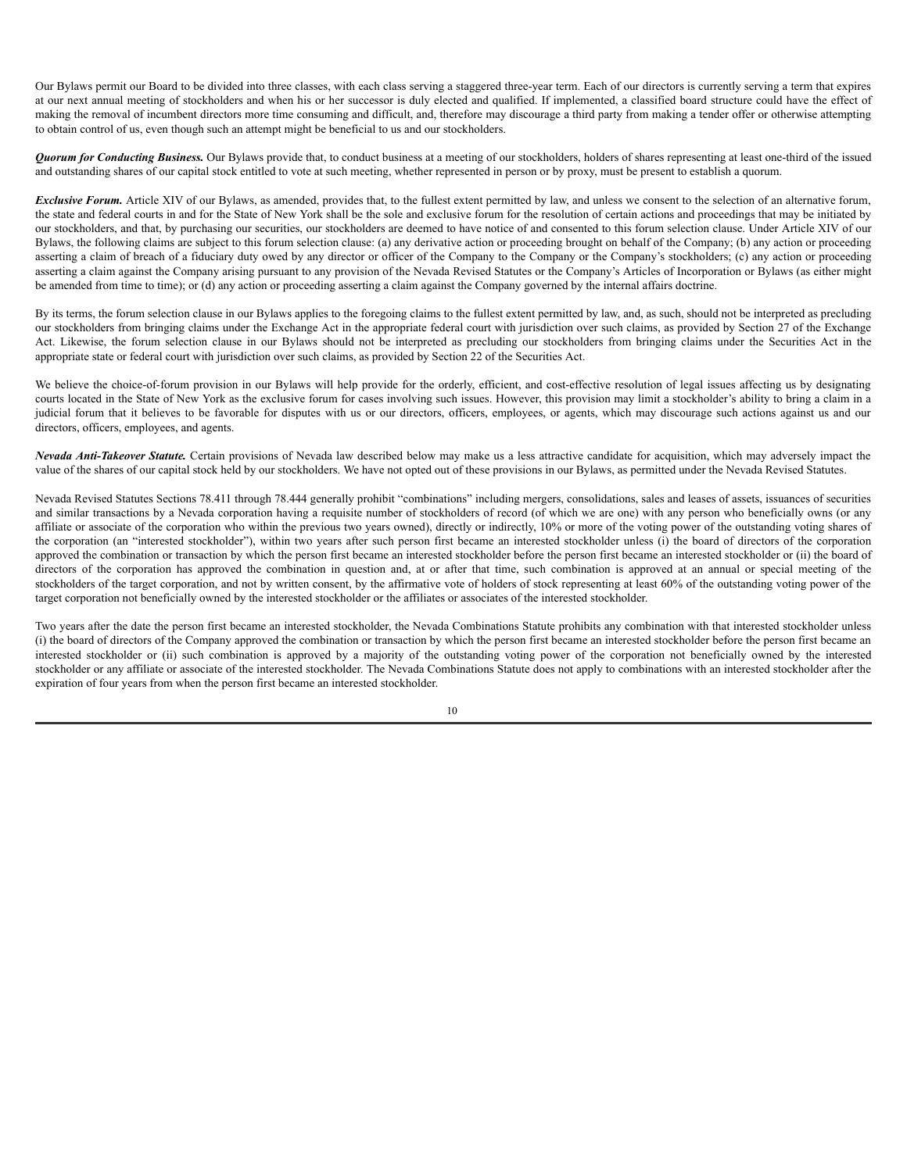Our Bylaws permit our Board to be divided into three classes, with each class serving a staggered three-year term. Each of our directors is currently serving a term that expires at our next annual meeting of stockholders and when his or her successor is duly elected and qualified. If implemented, a classified board structure could have the effect of making the removal of incumbent directors more time consuming and difficult, and, therefore may discourage a third party from making a tender offer or otherwise attempting to obtain control of us, even though such an attempt might be beneficial to us and our stockholders.

*Quorum for Conducting Business.* Our Bylaws provide that, to conduct business at a meeting of our stockholders, holders of shares representing at least one-third of the issued and outstanding shares of our capital stock entitled to vote at such meeting, whether represented in person or by proxy, must be present to establish a quorum.

*Exclusive Forum.* Article XIV of our Bylaws, as amended, provides that, to the fullest extent permitted by law, and unless we consent to the selection of an alternative forum, the state and federal courts in and for the State of New York shall be the sole and exclusive forum for the resolution of certain actions and proceedings that may be initiated by our stockholders, and that, by purchasing our securities, our stockholders are deemed to have notice of and consented to this forum selection clause. Under Article XIV of our Bylaws, the following claims are subject to this forum selection clause: (a) any derivative action or proceeding brought on behalf of the Company; (b) any action or proceeding asserting a claim of breach of a fiduciary duty owed by any director or officer of the Company to the Company or the Company's stockholders; (c) any action or proceeding asserting a claim against the Company arising pursuant to any provision of the Nevada Revised Statutes or the Company's Articles of Incorporation or Bylaws (as either might be amended from time to time); or (d) any action or proceeding asserting a claim against the Company governed by the internal affairs doctrine.

By its terms, the forum selection clause in our Bylaws applies to the foregoing claims to the fullest extent permitted by law, and, as such, should not be interpreted as precluding our stockholders from bringing claims under the Exchange Act in the appropriate federal court with jurisdiction over such claims, as provided by Section 27 of the Exchange Act. Likewise, the forum selection clause in our Bylaws should not be interpreted as precluding our stockholders from bringing claims under the Securities Act in the appropriate state or federal court with jurisdiction over such claims, as provided by Section 22 of the Securities Act.

We believe the choice-of-forum provision in our Bylaws will help provide for the orderly, efficient, and cost-effective resolution of legal issues affecting us by designating courts located in the State of New York as the exclusive forum for cases involving such issues. However, this provision may limit a stockholder's ability to bring a claim in a judicial forum that it believes to be favorable for disputes with us or our directors, officers, employees, or agents, which may discourage such actions against us and our directors, officers, employees, and agents.

*Nevada Anti-Takeover Statute.* Certain provisions of Nevada law described below may make us a less attractive candidate for acquisition, which may adversely impact the value of the shares of our capital stock held by our stockholders. We have not opted out of these provisions in our Bylaws, as permitted under the Nevada Revised Statutes.

Nevada Revised Statutes Sections 78.411 through 78.444 generally prohibit "combinations" including mergers, consolidations, sales and leases of assets, issuances of securities and similar transactions by a Nevada corporation having a requisite number of stockholders of record (of which we are one) with any person who beneficially owns (or any affiliate or associate of the corporation who within the previous two years owned), directly or indirectly, 10% or more of the voting power of the outstanding voting shares of the corporation (an "interested stockholder"), within two years after such person first became an interested stockholder unless (i) the board of directors of the corporation approved the combination or transaction by which the person first became an interested stockholder before the person first became an interested stockholder or (ii) the board of directors of the corporation has approved the combination in question and, at or after that time, such combination is approved at an annual or special meeting of the stockholders of the target corporation, and not by written consent, by the affirmative vote of holders of stock representing at least 60% of the outstanding voting power of the target corporation not beneficially owned by the interested stockholder or the affiliates or associates of the interested stockholder.

Two years after the date the person first became an interested stockholder, the Nevada Combinations Statute prohibits any combination with that interested stockholder unless (i) the board of directors of the Company approved the combination or transaction by which the person first became an interested stockholder before the person first became an interested stockholder or (ii) such combination is approved by a majority of the outstanding voting power of the corporation not beneficially owned by the interested stockholder or any affiliate or associate of the interested stockholder. The Nevada Combinations Statute does not apply to combinations with an interested stockholder after the expiration of four years from when the person first became an interested stockholder.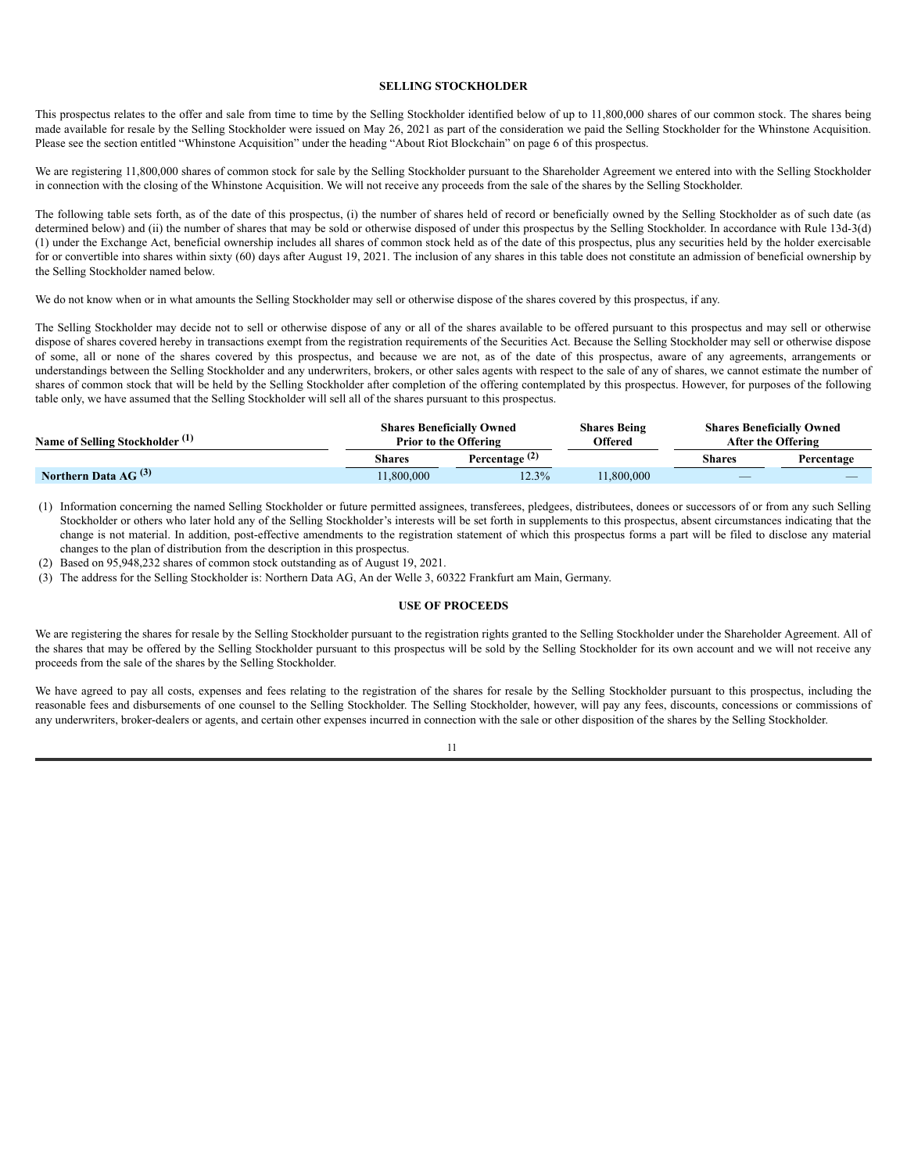#### **SELLING STOCKHOLDER**

This prospectus relates to the offer and sale from time to time by the Selling Stockholder identified below of up to 11,800,000 shares of our common stock. The shares being made available for resale by the Selling Stockholder were issued on May 26, 2021 as part of the consideration we paid the Selling Stockholder for the Whinstone Acquisition. Please see the section entitled "Whinstone Acquisition" under the heading "About Riot Blockchain" on page 6 of this prospectus.

We are registering 11,800,000 shares of common stock for sale by the Selling Stockholder pursuant to the Shareholder Agreement we entered into with the Selling Stockholder in connection with the closing of the Whinstone Acquisition. We will not receive any proceeds from the sale of the shares by the Selling Stockholder.

The following table sets forth, as of the date of this prospectus, (i) the number of shares held of record or beneficially owned by the Selling Stockholder as of such date (as determined below) and (ii) the number of shares that may be sold or otherwise disposed of under this prospectus by the Selling Stockholder. In accordance with Rule 13d-3(d) (1) under the Exchange Act, beneficial ownership includes all shares of common stock held as of the date of this prospectus, plus any securities held by the holder exercisable for or convertible into shares within sixty (60) days after August 19, 2021. The inclusion of any shares in this table does not constitute an admission of beneficial ownership by the Selling Stockholder named below.

We do not know when or in what amounts the Selling Stockholder may sell or otherwise dispose of the shares covered by this prospectus, if any.

The Selling Stockholder may decide not to sell or otherwise dispose of any or all of the shares available to be offered pursuant to this prospectus and may sell or otherwise dispose of shares covered hereby in transactions exempt from the registration requirements of the Securities Act. Because the Selling Stockholder may sell or otherwise dispose of some, all or none of the shares covered by this prospectus, and because we are not, as of the date of this prospectus, aware of any agreements, arrangements or understandings between the Selling Stockholder and any underwriters, brokers, or other sales agents with respect to the sale of any of shares, we cannot estimate the number of shares of common stock that will be held by the Selling Stockholder after completion of the offering contemplated by this prospectus. However, for purposes of the following table only, we have assumed that the Selling Stockholder will sell all of the shares pursuant to this prospectus.

| Name of Selling Stockholder <sup>(1)</sup> | <b>Shares Beneficially Owned</b><br><b>Prior to the Offering</b> |                  | <b>Shares Being</b><br><b>Offered</b> | <b>Shares Beneficially Owned</b><br><b>After the Offering</b> |            |
|--------------------------------------------|------------------------------------------------------------------|------------------|---------------------------------------|---------------------------------------------------------------|------------|
|                                            | <b>Shares</b>                                                    | Percentage $(4)$ |                                       | <b>Shares</b>                                                 | Percentage |
| Northern Data $AG^{(3)}$                   | 1.800.000                                                        | 12.3%            | 1.800.000                             | __                                                            |            |
|                                            |                                                                  |                  |                                       |                                                               |            |

(1) Information concerning the named Selling Stockholder or future permitted assignees, transferees, pledgees, distributees, donees or successors of or from any such Selling Stockholder or others who later hold any of the Selling Stockholder's interests will be set forth in supplements to this prospectus, absent circumstances indicating that the change is not material. In addition, post-effective amendments to the registration statement of which this prospectus forms a part will be filed to disclose any material changes to the plan of distribution from the description in this prospectus.

(2) Based on 95,948,232 shares of common stock outstanding as of August 19, 2021.

(3) The address for the Selling Stockholder is: Northern Data AG, An der Welle 3, 60322 Frankfurt am Main, Germany.

#### **USE OF PROCEEDS**

We are registering the shares for resale by the Selling Stockholder pursuant to the registration rights granted to the Selling Stockholder under the Shareholder Agreement. All of the shares that may be offered by the Selling Stockholder pursuant to this prospectus will be sold by the Selling Stockholder for its own account and we will not receive any proceeds from the sale of the shares by the Selling Stockholder.

We have agreed to pay all costs, expenses and fees relating to the registration of the shares for resale by the Selling Stockholder pursuant to this prospectus, including the reasonable fees and disbursements of one counsel to the Selling Stockholder. The Selling Stockholder, however, will pay any fees, discounts, concessions or commissions of any underwriters, broker-dealers or agents, and certain other expenses incurred in connection with the sale or other disposition of the shares by the Selling Stockholder.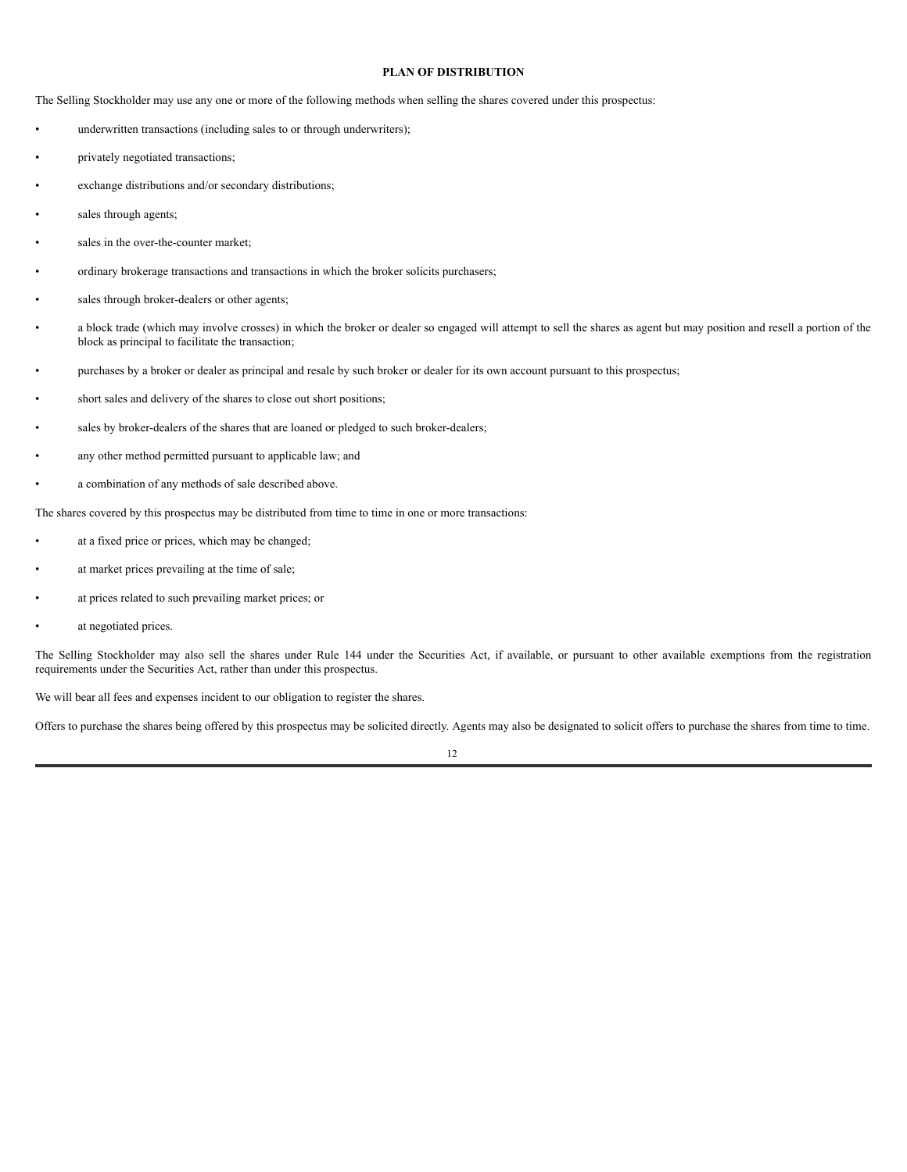## **PLAN OF DISTRIBUTION**

The Selling Stockholder may use any one or more of the following methods when selling the shares covered under this prospectus:

- underwritten transactions (including sales to or through underwriters);
- privately negotiated transactions;
- exchange distributions and/or secondary distributions;
- sales through agents;
- sales in the over-the-counter market;
- ordinary brokerage transactions and transactions in which the broker solicits purchasers;
- sales through broker-dealers or other agents;
- a block trade (which may involve crosses) in which the broker or dealer so engaged will attempt to sell the shares as agent but may position and resell a portion of the block as principal to facilitate the transaction;
- purchases by a broker or dealer as principal and resale by such broker or dealer for its own account pursuant to this prospectus;
- short sales and delivery of the shares to close out short positions;
- sales by broker-dealers of the shares that are loaned or pledged to such broker-dealers;
- any other method permitted pursuant to applicable law; and
- a combination of any methods of sale described above.

The shares covered by this prospectus may be distributed from time to time in one or more transactions:

- at a fixed price or prices, which may be changed;
- at market prices prevailing at the time of sale;
- at prices related to such prevailing market prices; or
- at negotiated prices.

The Selling Stockholder may also sell the shares under Rule 144 under the Securities Act, if available, or pursuant to other available exemptions from the registration requirements under the Securities Act, rather than under this prospectus.

We will bear all fees and expenses incident to our obligation to register the shares.

Offers to purchase the shares being offered by this prospectus may be solicited directly. Agents may also be designated to solicit offers to purchase the shares from time to time.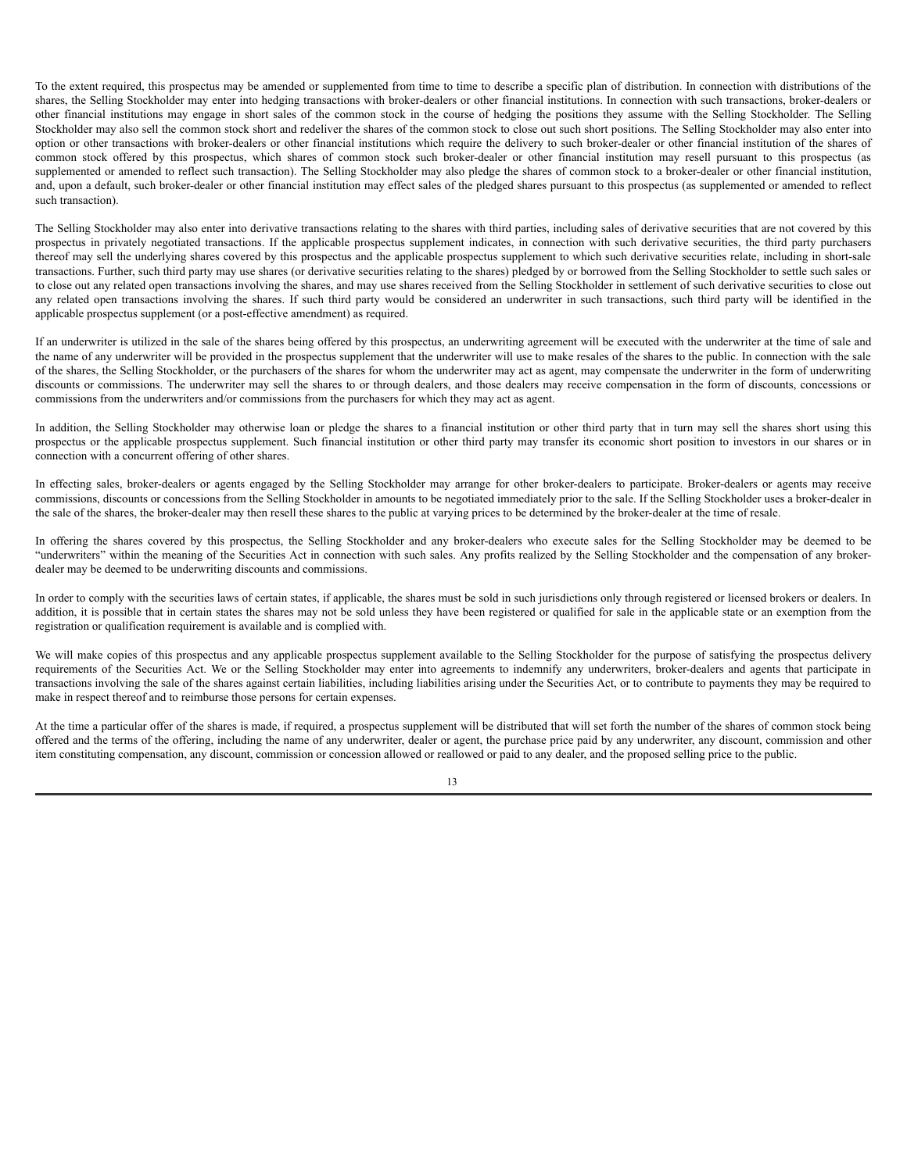To the extent required, this prospectus may be amended or supplemented from time to time to describe a specific plan of distribution. In connection with distributions of the shares, the Selling Stockholder may enter into hedging transactions with broker-dealers or other financial institutions. In connection with such transactions, broker-dealers or other financial institutions may engage in short sales of the common stock in the course of hedging the positions they assume with the Selling Stockholder. The Selling Stockholder may also sell the common stock short and redeliver the shares of the common stock to close out such short positions. The Selling Stockholder may also enter into option or other transactions with broker-dealers or other financial institutions which require the delivery to such broker-dealer or other financial institution of the shares of common stock offered by this prospectus, which shares of common stock such broker-dealer or other financial institution may resell pursuant to this prospectus (as supplemented or amended to reflect such transaction). The Selling Stockholder may also pledge the shares of common stock to a broker-dealer or other financial institution, and, upon a default, such broker-dealer or other financial institution may effect sales of the pledged shares pursuant to this prospectus (as supplemented or amended to reflect such transaction).

The Selling Stockholder may also enter into derivative transactions relating to the shares with third parties, including sales of derivative securities that are not covered by this prospectus in privately negotiated transactions. If the applicable prospectus supplement indicates, in connection with such derivative securities, the third party purchasers thereof may sell the underlying shares covered by this prospectus and the applicable prospectus supplement to which such derivative securities relate, including in short-sale transactions. Further, such third party may use shares (or derivative securities relating to the shares) pledged by or borrowed from the Selling Stockholder to settle such sales or to close out any related open transactions involving the shares, and may use shares received from the Selling Stockholder in settlement of such derivative securities to close out any related open transactions involving the shares. If such third party would be considered an underwriter in such transactions, such third party will be identified in the applicable prospectus supplement (or a post-effective amendment) as required.

If an underwriter is utilized in the sale of the shares being offered by this prospectus, an underwriting agreement will be executed with the underwriter at the time of sale and the name of any underwriter will be provided in the prospectus supplement that the underwriter will use to make resales of the shares to the public. In connection with the sale of the shares, the Selling Stockholder, or the purchasers of the shares for whom the underwriter may act as agent, may compensate the underwriter in the form of underwriting discounts or commissions. The underwriter may sell the shares to or through dealers, and those dealers may receive compensation in the form of discounts, concessions or commissions from the underwriters and/or commissions from the purchasers for which they may act as agent.

In addition, the Selling Stockholder may otherwise loan or pledge the shares to a financial institution or other third party that in turn may sell the shares short using this prospectus or the applicable prospectus supplement. Such financial institution or other third party may transfer its economic short position to investors in our shares or in connection with a concurrent offering of other shares.

In effecting sales, broker-dealers or agents engaged by the Selling Stockholder may arrange for other broker-dealers to participate. Broker-dealers or agents may receive commissions, discounts or concessions from the Selling Stockholder in amounts to be negotiated immediately prior to the sale. If the Selling Stockholder uses a broker-dealer in the sale of the shares, the broker-dealer may then resell these shares to the public at varying prices to be determined by the broker-dealer at the time of resale.

In offering the shares covered by this prospectus, the Selling Stockholder and any broker-dealers who execute sales for the Selling Stockholder may be deemed to be "underwriters" within the meaning of the Securities Act in connection with such sales. Any profits realized by the Selling Stockholder and the compensation of any brokerdealer may be deemed to be underwriting discounts and commissions.

In order to comply with the securities laws of certain states, if applicable, the shares must be sold in such jurisdictions only through registered or licensed brokers or dealers. In addition, it is possible that in certain states the shares may not be sold unless they have been registered or qualified for sale in the applicable state or an exemption from the registration or qualification requirement is available and is complied with.

We will make copies of this prospectus and any applicable prospectus supplement available to the Selling Stockholder for the purpose of satisfying the prospectus delivery requirements of the Securities Act. We or the Selling Stockholder may enter into agreements to indemnify any underwriters, broker-dealers and agents that participate in transactions involving the sale of the shares against certain liabilities, including liabilities arising under the Securities Act, or to contribute to payments they may be required to make in respect thereof and to reimburse those persons for certain expenses.

At the time a particular offer of the shares is made, if required, a prospectus supplement will be distributed that will set forth the number of the shares of common stock being offered and the terms of the offering, including the name of any underwriter, dealer or agent, the purchase price paid by any underwriter, any discount, commission and other item constituting compensation, any discount, commission or concession allowed or reallowed or paid to any dealer, and the proposed selling price to the public.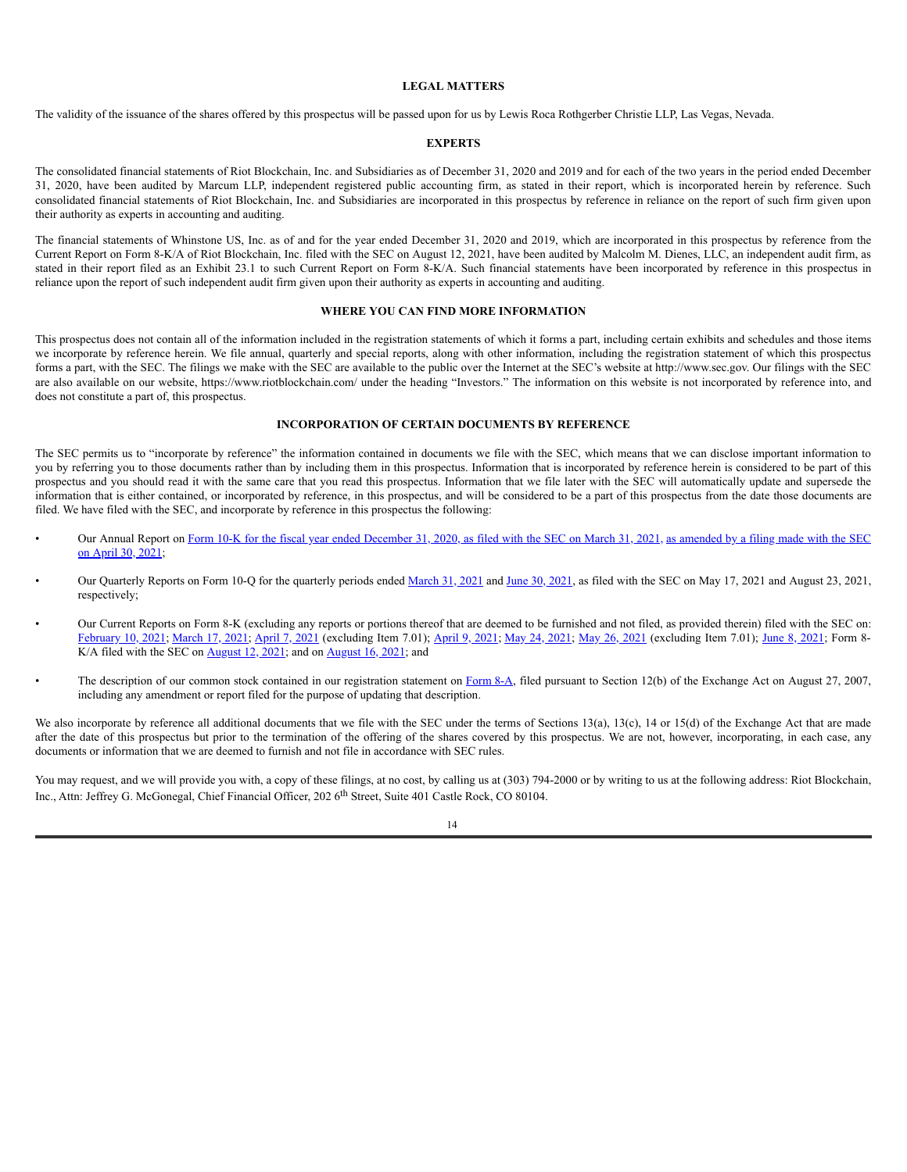#### **LEGAL MATTERS**

The validity of the issuance of the shares offered by this prospectus will be passed upon for us by Lewis Roca Rothgerber Christie LLP, Las Vegas, Nevada.

#### **EXPERTS**

The consolidated financial statements of Riot Blockchain, Inc. and Subsidiaries as of December 31, 2020 and 2019 and for each of the two years in the period ended December 31, 2020, have been audited by Marcum LLP, independent registered public accounting firm, as stated in their report, which is incorporated herein by reference. Such consolidated financial statements of Riot Blockchain, Inc. and Subsidiaries are incorporated in this prospectus by reference in reliance on the report of such firm given upon their authority as experts in accounting and auditing.

The financial statements of Whinstone US, Inc. as of and for the year ended December 31, 2020 and 2019, which are incorporated in this prospectus by reference from the Current Report on Form 8-K/A of Riot Blockchain, Inc. filed with the SEC on August 12, 2021, have been audited by Malcolm M. Dienes, LLC, an independent audit firm, as stated in their report filed as an Exhibit 23.1 to such Current Report on Form 8-K/A. Such financial statements have been incorporated by reference in this prospectus in reliance upon the report of such independent audit firm given upon their authority as experts in accounting and auditing.

#### **WHERE YOU CAN FIND MORE INFORMATION**

This prospectus does not contain all of the information included in the registration statements of which it forms a part, including certain exhibits and schedules and those items we incorporate by reference herein. We file annual, quarterly and special reports, along with other information, including the registration statement of which this prospectus forms a part, with the SEC. The filings we make with the SEC are available to the public over the Internet at the SEC's website at http://www.sec.gov. Our filings with the SEC are also available on our website, https://www.riotblockchain.com/ under the heading "Investors." The information on this website is not incorporated by reference into, and does not constitute a part of, this prospectus.

## **INCORPORATION OF CERTAIN DOCUMENTS BY REFERENCE**

The SEC permits us to "incorporate by reference" the information contained in documents we file with the SEC, which means that we can disclose important information to you by referring you to those documents rather than by including them in this prospectus. Information that is incorporated by reference herein is considered to be part of this prospectus and you should read it with the same care that you read this prospectus. Information that we file later with the SEC will automatically update and supersede the information that is either contained, or incorporated by reference, in this prospectus, and will be considered to be a part of this prospectus from the date those documents are filed. We have filed with the SEC, and incorporate by reference in this prospectus the following:

- Our Annual Report on Form 10-K for the fiscal year ended [December](http://www.sec.gov/Archives/edgar/data/1167419/000107997321000326/riot_10kaixb-123120.htm) 31, 2020, as filed with the SEC on March 31, 2021, as amended by a filing made with the SEC on April 30, 2021;
- Our Quarterly Reports on Form 10-Q for the quarterly periods ended [March](http://www.sec.gov/Archives/edgar/data/1167419/000107997321000383/riot10qq1-0321.htm) 31, 2021 and June 30, [2021,](http://www.sec.gov/Archives/edgar/data/1167419/000107997321000828/riot10qq2-0621.htm) as filed with the SEC on May 17, 2021 and August 23, 2021, respectively;
- Our Current Reports on Form 8-K (excluding any reports or portions thereof that are deemed to be furnished and not filed, as provided therein) filed with the SEC on: [February](http://www.sec.gov/Archives/edgar/data/1167419/000107997321000074/riot_8k-pilot.htm) 10, 2021; [March](http://www.sec.gov/Archives/edgar/data/1167419/000107997321000184/riot_8k-0321.htm) 17, 2021; [April](http://www.sec.gov/Archives/edgar/data/1167419/000107997321000253/riot_8k-040621.htm) 7, 2021 (excluding Item 7.01); [April](http://www.sec.gov/Archives/edgar/data/1167419/000107997321000264/riot_8k-040821v2.htm) 9, 2021; May 24, [2021;](http://www.sec.gov/Archives/edgar/data/1167419/000107997321000412/riot_8k.htm) May 26, [2021](http://www.sec.gov/Archives/edgar/data/1167419/000107997321000426/riot_8k-052621.htm) (excluding Item 7.01); June 8, [2021;](http://www.sec.gov/Archives/edgar/data/1167419/000107997321000481/riot_8k-060721.htm) Form 8- K/A filed with the SEC on **[August](http://www.sec.gov/Archives/edgar/data/1167419/000107997321000790/riot_8k-081621.htm) 12**, 2021; and on **August 16**, 2021; and
- The description of our common stock contained in our registration statement on [Form](http://www.sec.gov/Archives/edgar/data/1167419/000107997307000759/apnb_form8a-082207.htm) 8-A, filed pursuant to Section 12(b) of the Exchange Act on August 27, 2007, including any amendment or report filed for the purpose of updating that description.

We also incorporate by reference all additional documents that we file with the SEC under the terms of Sections 13(a), 13(c), 14 or 15(d) of the Exchange Act that are made after the date of this prospectus but prior to the termination of the offering of the shares covered by this prospectus. We are not, however, incorporating, in each case, any documents or information that we are deemed to furnish and not file in accordance with SEC rules.

You may request, and we will provide you with, a copy of these filings, at no cost, by calling us at (303) 794-2000 or by writing to us at the following address: Riot Blockchain, Inc., Attn: Jeffrey G. McGonegal, Chief Financial Officer, 202 6<sup>th</sup> Street, Suite 401 Castle Rock, CO 80104.

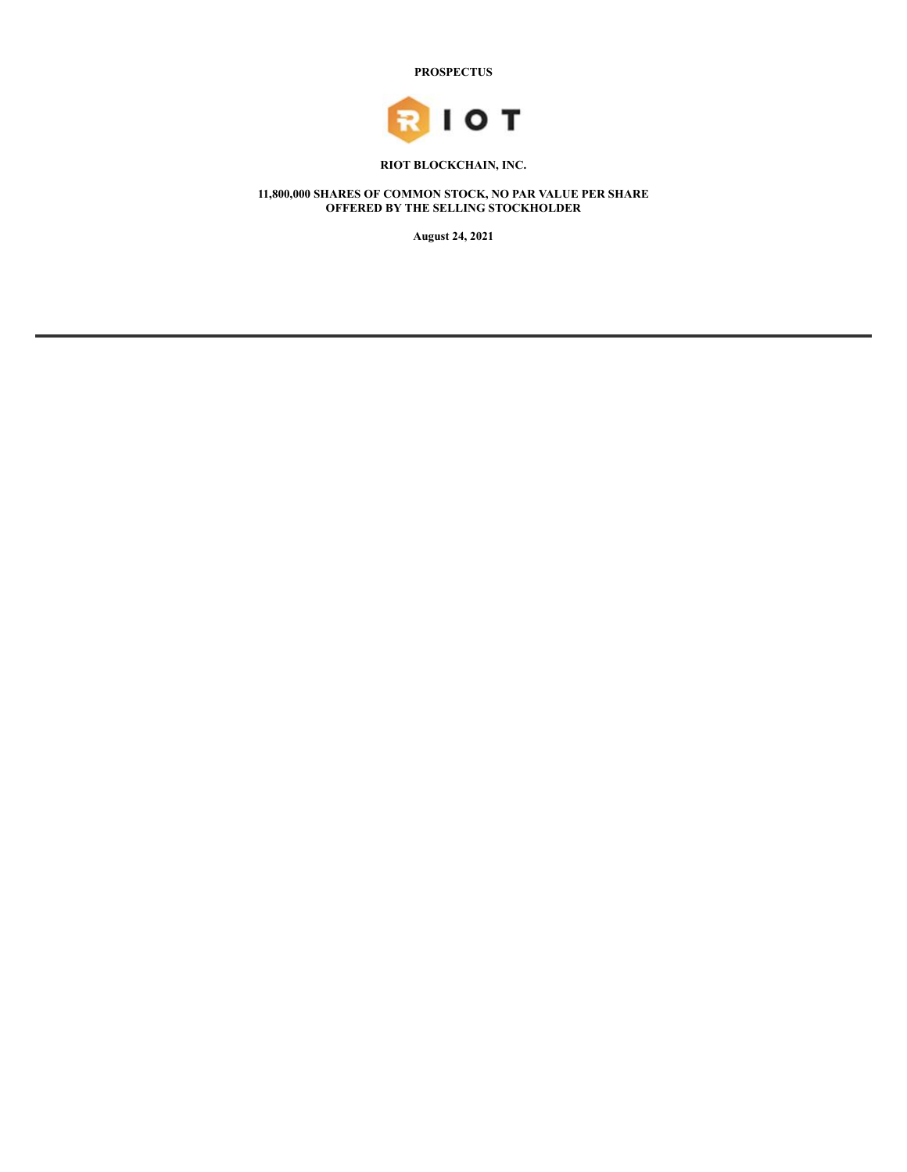**PROSPECTUS**



# **RIOT BLOCKCHAIN, INC.**

**11,800,000 SHARES OF COMMON STOCK, NO PAR VALUE PER SHARE OFFERED BY THE SELLING STOCKHOLDER**

**August 24, 2021**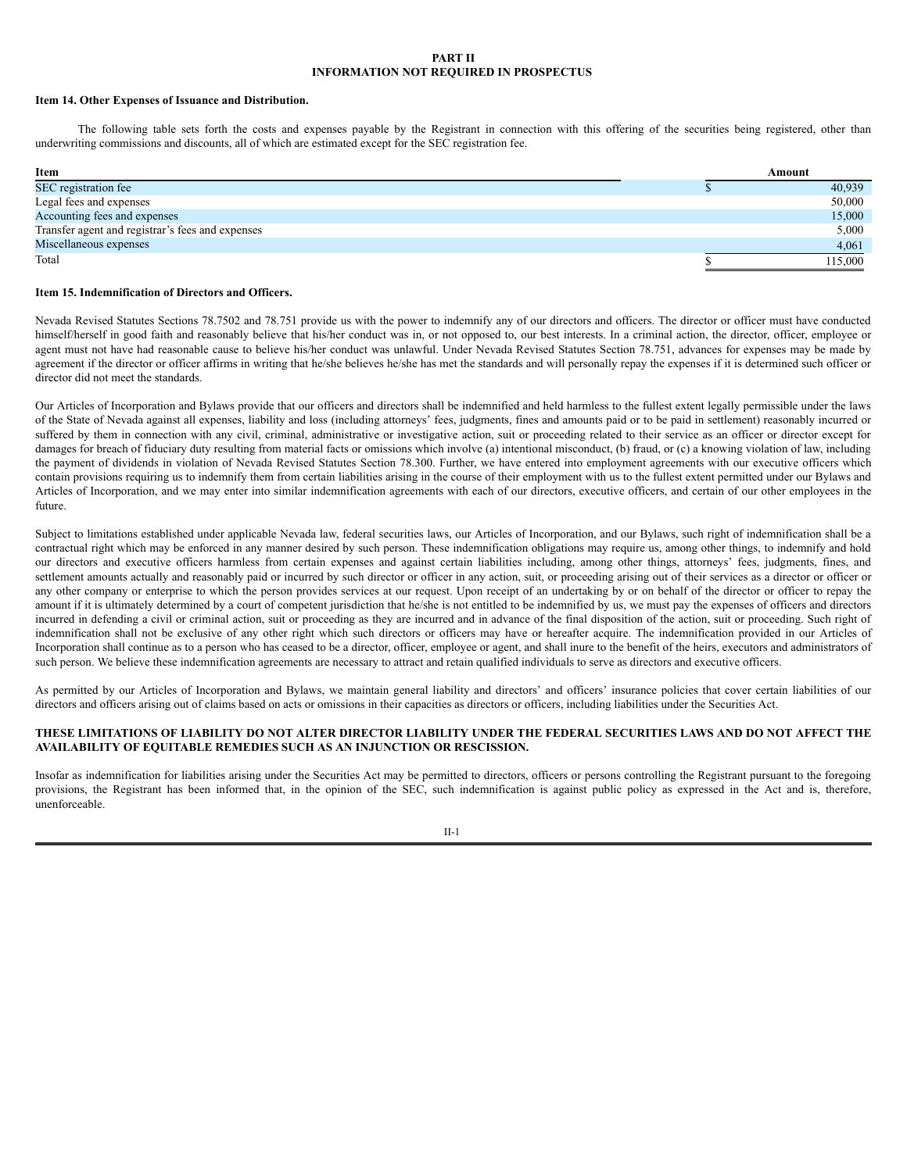#### **PART II INFORMATION NOT REQUIRED IN PROSPECTUS**

#### **Item 14. Other Expenses of Issuance and Distribution.**

The following table sets forth the costs and expenses payable by the Registrant in connection with this offering of the securities being registered, other than underwriting commissions and discounts, all of which are estimated except for the SEC registration fee.

| Item                                             | Amount  |  |
|--------------------------------------------------|---------|--|
| SEC registration fee                             | 40,939  |  |
| Legal fees and expenses                          | 50,000  |  |
| Accounting fees and expenses                     | 15,000  |  |
| Transfer agent and registrar's fees and expenses | 5,000   |  |
| Miscellaneous expenses                           | 4,061   |  |
| Total                                            | 115,000 |  |

#### **Item 15. Indemnification of Directors and Officers.**

Nevada Revised Statutes Sections 78.7502 and 78.751 provide us with the power to indemnify any of our directors and officers. The director or officer must have conducted himself/herself in good faith and reasonably believe that his/her conduct was in, or not opposed to, our best interests. In a criminal action, the director, officer, employee or agent must not have had reasonable cause to believe his/her conduct was unlawful. Under Nevada Revised Statutes Section 78.751, advances for expenses may be made by agreement if the director or officer affirms in writing that he/she believes he/she has met the standards and will personally repay the expenses if it is determined such officer or director did not meet the standards.

Our Articles of Incorporation and Bylaws provide that our officers and directors shall be indemnified and held harmless to the fullest extent legally permissible under the laws of the State of Nevada against all expenses, liability and loss (including attorneys' fees, judgments, fines and amounts paid or to be paid in settlement) reasonably incurred or suffered by them in connection with any civil, criminal, administrative or investigative action, suit or proceeding related to their service as an officer or director except for damages for breach of fiduciary duty resulting from material facts or omissions which involve (a) intentional misconduct, (b) fraud, or (c) a knowing violation of law, including the payment of dividends in violation of Nevada Revised Statutes Section 78.300. Further, we have entered into employment agreements with our executive officers which contain provisions requiring us to indemnify them from certain liabilities arising in the course of their employment with us to the fullest extent permitted under our Bylaws and Articles of Incorporation, and we may enter into similar indemnification agreements with each of our directors, executive officers, and certain of our other employees in the future.

Subject to limitations established under applicable Nevada law, federal securities laws, our Articles of Incorporation, and our Bylaws, such right of indemnification shall be a contractual right which may be enforced in any manner desired by such person. These indemnification obligations may require us, among other things, to indemnify and hold our directors and executive officers harmless from certain expenses and against certain liabilities including, among other things, attorneys' fees, judgments, fines, and settlement amounts actually and reasonably paid or incurred by such director or officer in any action, suit, or proceeding arising out of their services as a director or officer or any other company or enterprise to which the person provides services at our request. Upon receipt of an undertaking by or on behalf of the director or officer to repay the amount if it is ultimately determined by a court of competent jurisdiction that he/she is not entitled to be indemnified by us, we must pay the expenses of officers and directors incurred in defending a civil or criminal action, suit or proceeding as they are incurred and in advance of the final disposition of the action, suit or proceeding. Such right of indemnification shall not be exclusive of any other right which such directors or officers may have or hereafter acquire. The indemnification provided in our Articles of Incorporation shall continue as to a person who has ceased to be a director, officer, employee or agent, and shall inure to the benefit of the heirs, executors and administrators of such person. We believe these indemnification agreements are necessary to attract and retain qualified individuals to serve as directors and executive officers.

As permitted by our Articles of Incorporation and Bylaws, we maintain general liability and directors' and officers' insurance policies that cover certain liabilities of our directors and officers arising out of claims based on acts or omissions in their capacities as directors or officers, including liabilities under the Securities Act.

## THESE LIMITATIONS OF LIABILITY DO NOT ALTER DIRECTOR LIABILITY UNDER THE FEDERAL SECURITIES LAWS AND DO NOT AFFECT THE **AVAILABILITY OF EQUITABLE REMEDIES SUCH AS AN INJUNCTION OR RESCISSION.**

Insofar as indemnification for liabilities arising under the Securities Act may be permitted to directors, officers or persons controlling the Registrant pursuant to the foregoing provisions, the Registrant has been informed that, in the opinion of the SEC, such indemnification is against public policy as expressed in the Act and is, therefore, unenforceable.

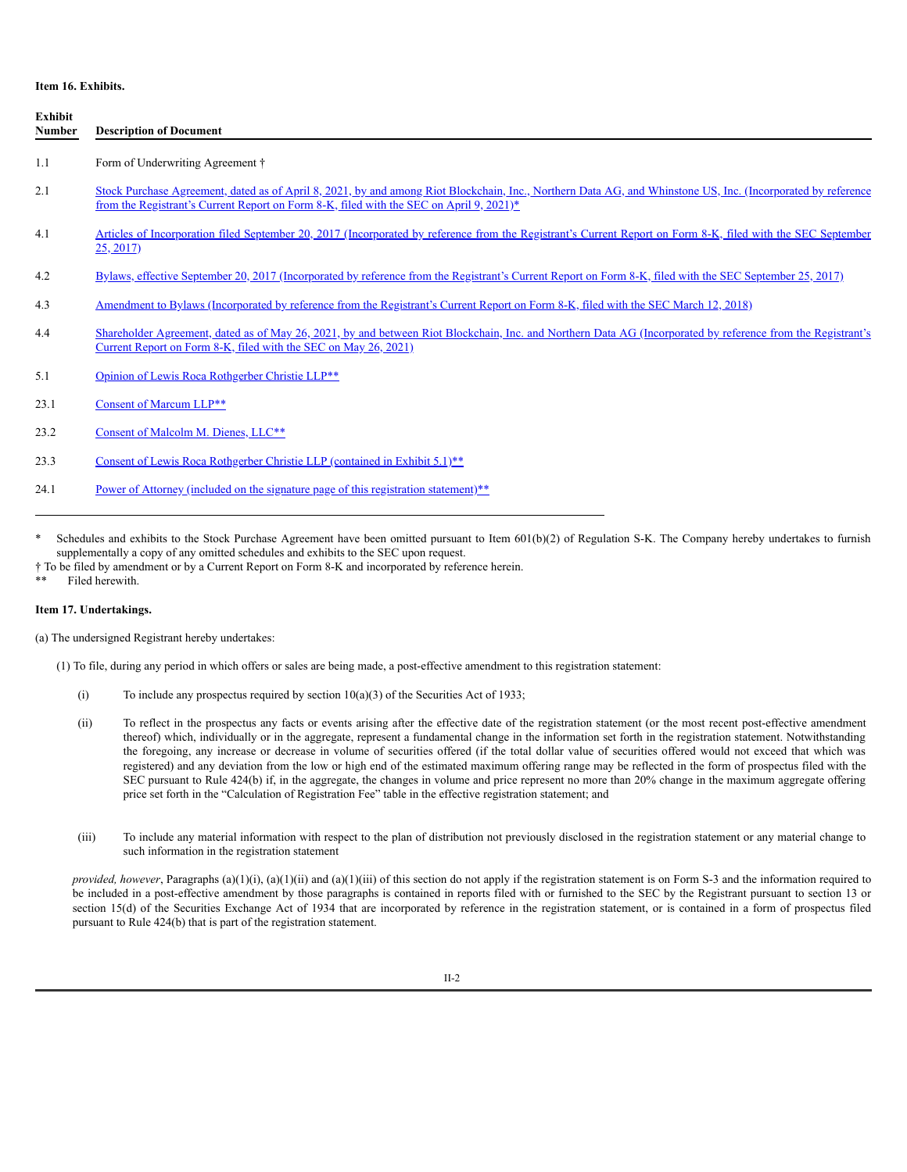#### **Item 16. Exhibits.**

| <b>Exhibit</b><br><b>Number</b> | <b>Description of Document</b>                                                                                                                                                                                                                          |
|---------------------------------|---------------------------------------------------------------------------------------------------------------------------------------------------------------------------------------------------------------------------------------------------------|
| 1.1                             | Form of Underwriting Agreement †                                                                                                                                                                                                                        |
| 2.1                             | Stock Purchase Agreement, dated as of April 8, 2021, by and among Riot Blockchain, Inc., Northern Data AG, and Whinstone US, Inc. (Incorporated by reference<br>from the Registrant's Current Report on Form 8-K, filed with the SEC on April 9, 2021)* |
| 4.1                             | Articles of Incorporation filed September 20, 2017 (Incorporated by reference from the Registrant's Current Report on Form 8-K, filed with the SEC September<br>25, 2017                                                                                |
| 4.2                             | Bylaws, effective September 20, 2017 (Incorporated by reference from the Registrant's Current Report on Form 8-K, filed with the SEC September 25, 2017)                                                                                                |
| 4.3                             | Amendment to Bylaws (Incorporated by reference from the Registrant's Current Report on Form 8-K, filed with the SEC March 12, 2018)                                                                                                                     |
| 4.4                             | Shareholder Agreement, dated as of May 26, 2021, by and between Riot Blockchain, Inc. and Northern Data AG (Incorporated by reference from the Registrant's<br>Current Report on Form 8-K, filed with the SEC on May 26, 2021)                          |
| 5.1                             | Opinion of Lewis Roca Rothgerber Christie LLP <sup>**</sup>                                                                                                                                                                                             |
| 23.1                            | Consent of Marcum LLP**                                                                                                                                                                                                                                 |
| 23.2                            | Consent of Malcolm M. Dienes, LLC**                                                                                                                                                                                                                     |
| 23.3                            | Consent of Lewis Roca Rothgerber Christie LLP (contained in Exhibit 5.1)**                                                                                                                                                                              |
| 24.1                            | Power of Attorney (included on the signature page of this registration statement)**                                                                                                                                                                     |
| $\ast$                          | Schedules and exhibits to the Stock Purchase Agreement have been omitted pursuant to Item 601(b)(2) of Regulation S-K. The Company hereby undertakes to furnish                                                                                         |

supplementally a copy of any omitted schedules and exhibits to the SEC upon request.

† To be filed by amendment or by a Current Report on Form 8-K and incorporated by reference herein.

Filed herewith.

## **Item 17. Undertakings.**

(a) The undersigned Registrant hereby undertakes:

(1) To file, during any period in which offers or sales are being made, a post-effective amendment to this registration statement:

- (i) To include any prospectus required by section  $10(a)(3)$  of the Securities Act of 1933;
- (ii) To reflect in the prospectus any facts or events arising after the effective date of the registration statement (or the most recent post-effective amendment thereof) which, individually or in the aggregate, represent a fundamental change in the information set forth in the registration statement. Notwithstanding the foregoing, any increase or decrease in volume of securities offered (if the total dollar value of securities offered would not exceed that which was registered) and any deviation from the low or high end of the estimated maximum offering range may be reflected in the form of prospectus filed with the SEC pursuant to Rule 424(b) if, in the aggregate, the changes in volume and price represent no more than 20% change in the maximum aggregate offering price set forth in the "Calculation of Registration Fee" table in the effective registration statement; and
- (iii) To include any material information with respect to the plan of distribution not previously disclosed in the registration statement or any material change to such information in the registration statement

*provided, however*, Paragraphs (a)(1)(i), (a)(1)(ii) and (a)(1)(iii) of this section do not apply if the registration statement is on Form S-3 and the information required to be included in a post-effective amendment by those paragraphs is contained in reports filed with or furnished to the SEC by the Registrant pursuant to section 13 or section 15(d) of the Securities Exchange Act of 1934 that are incorporated by reference in the registration statement, or is contained in a form of prospectus filed pursuant to Rule 424(b) that is part of the registration statement.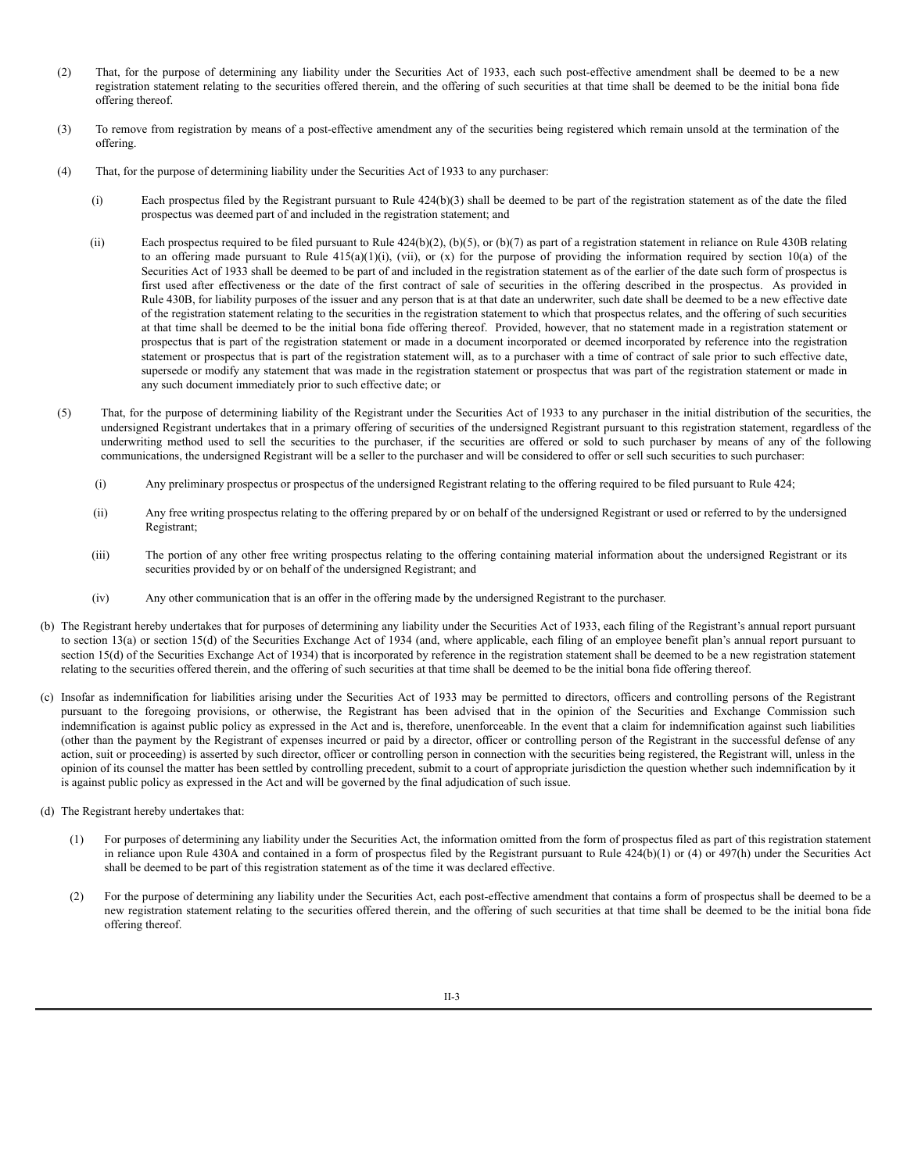- (2) That, for the purpose of determining any liability under the Securities Act of 1933, each such post-effective amendment shall be deemed to be a new registration statement relating to the securities offered therein, and the offering of such securities at that time shall be deemed to be the initial bona fide offering thereof.
- (3) To remove from registration by means of a post-effective amendment any of the securities being registered which remain unsold at the termination of the offering.
- (4) That, for the purpose of determining liability under the Securities Act of 1933 to any purchaser:
	- (i) Each prospectus filed by the Registrant pursuant to Rule 424(b)(3) shall be deemed to be part of the registration statement as of the date the filed prospectus was deemed part of and included in the registration statement; and
	- (ii) Each prospectus required to be filed pursuant to Rule  $424(b)(2)$ ,  $(b)(5)$ , or  $(b)(7)$  as part of a registration statement in reliance on Rule 430B relating to an offering made pursuant to Rule  $415(a)(1)(i)$ , (vii), or (x) for the purpose of providing the information required by section  $10(a)$  of the Securities Act of 1933 shall be deemed to be part of and included in the registration statement as of the earlier of the date such form of prospectus is first used after effectiveness or the date of the first contract of sale of securities in the offering described in the prospectus. As provided in Rule 430B, for liability purposes of the issuer and any person that is at that date an underwriter, such date shall be deemed to be a new effective date of the registration statement relating to the securities in the registration statement to which that prospectus relates, and the offering of such securities at that time shall be deemed to be the initial bona fide offering thereof. Provided, however, that no statement made in a registration statement or prospectus that is part of the registration statement or made in a document incorporated or deemed incorporated by reference into the registration statement or prospectus that is part of the registration statement will, as to a purchaser with a time of contract of sale prior to such effective date, supersede or modify any statement that was made in the registration statement or prospectus that was part of the registration statement or made in any such document immediately prior to such effective date; or
- (5) That, for the purpose of determining liability of the Registrant under the Securities Act of 1933 to any purchaser in the initial distribution of the securities, the undersigned Registrant undertakes that in a primary offering of securities of the undersigned Registrant pursuant to this registration statement, regardless of the underwriting method used to sell the securities to the purchaser, if the securities are offered or sold to such purchaser by means of any of the following communications, the undersigned Registrant will be a seller to the purchaser and will be considered to offer or sell such securities to such purchaser:
	- (i) Any preliminary prospectus or prospectus of the undersigned Registrant relating to the offering required to be filed pursuant to Rule 424;
	- (ii) Any free writing prospectus relating to the offering prepared by or on behalf of the undersigned Registrant or used or referred to by the undersigned Registrant;
	- (iii) The portion of any other free writing prospectus relating to the offering containing material information about the undersigned Registrant or its securities provided by or on behalf of the undersigned Registrant; and
	- (iv) Any other communication that is an offer in the offering made by the undersigned Registrant to the purchaser.
- (b) The Registrant hereby undertakes that for purposes of determining any liability under the Securities Act of 1933, each filing of the Registrant's annual report pursuant to section 13(a) or section 15(d) of the Securities Exchange Act of 1934 (and, where applicable, each filing of an employee benefit plan's annual report pursuant to section 15(d) of the Securities Exchange Act of 1934) that is incorporated by reference in the registration statement shall be deemed to be a new registration statement relating to the securities offered therein, and the offering of such securities at that time shall be deemed to be the initial bona fide offering thereof.
- (c) Insofar as indemnification for liabilities arising under the Securities Act of 1933 may be permitted to directors, officers and controlling persons of the Registrant pursuant to the foregoing provisions, or otherwise, the Registrant has been advised that in the opinion of the Securities and Exchange Commission such indemnification is against public policy as expressed in the Act and is, therefore, unenforceable. In the event that a claim for indemnification against such liabilities (other than the payment by the Registrant of expenses incurred or paid by a director, officer or controlling person of the Registrant in the successful defense of any action, suit or proceeding) is asserted by such director, officer or controlling person in connection with the securities being registered, the Registrant will, unless in the opinion of its counsel the matter has been settled by controlling precedent, submit to a court of appropriate jurisdiction the question whether such indemnification by it is against public policy as expressed in the Act and will be governed by the final adjudication of such issue.
- (d) The Registrant hereby undertakes that:
	- (1) For purposes of determining any liability under the Securities Act, the information omitted from the form of prospectus filed as part of this registration statement in reliance upon Rule 430A and contained in a form of prospectus filed by the Registrant pursuant to Rule 424(b)(1) or (4) or 497(h) under the Securities Act shall be deemed to be part of this registration statement as of the time it was declared effective.
	- (2) For the purpose of determining any liability under the Securities Act, each post-effective amendment that contains a form of prospectus shall be deemed to be a new registration statement relating to the securities offered therein, and the offering of such securities at that time shall be deemed to be the initial bona fide offering thereof.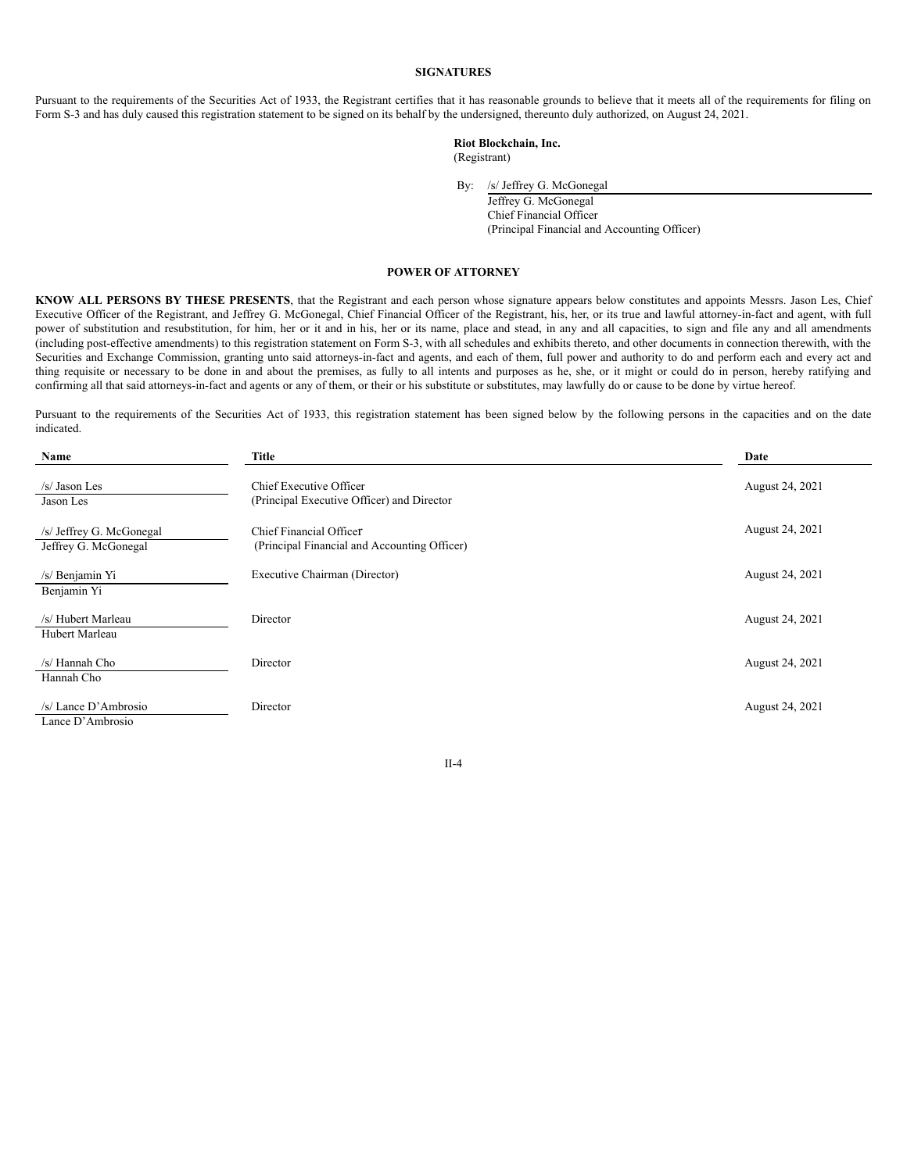## **SIGNATURES**

<span id="page-21-0"></span>Pursuant to the requirements of the Securities Act of 1933, the Registrant certifies that it has reasonable grounds to believe that it meets all of the requirements for filing on Form S-3 and has duly caused this registration statement to be signed on its behalf by the undersigned, thereunto duly authorized, on August 24, 2021.

## **Riot Blockchain, Inc.**

(Registrant)

By: /s/ Jeffrey G. McGonegal

Jeffrey G. McGonegal Chief Financial Officer (Principal Financial and Accounting Officer)

#### **POWER OF ATTORNEY**

**KNOW ALL PERSONS BY THESE PRESENTS**, that the Registrant and each person whose signature appears below constitutes and appoints Messrs. Jason Les, Chief Executive Officer of the Registrant, and Jeffrey G. McGonegal, Chief Financial Officer of the Registrant, his, her, or its true and lawful attorney-in-fact and agent, with full power of substitution and resubstitution, for him, her or it and in his, her or its name, place and stead, in any and all capacities, to sign and file any and all amendments (including post-effective amendments) to this registration statement on Form S-3, with all schedules and exhibits thereto, and other documents in connection therewith, with the Securities and Exchange Commission, granting unto said attorneys-in-fact and agents, and each of them, full power and authority to do and perform each and every act and thing requisite or necessary to be done in and about the premises, as fully to all intents and purposes as he, she, or it might or could do in person, hereby ratifying and confirming all that said attorneys-in-fact and agents or any of them, or their or his substitute or substitutes, may lawfully do or cause to be done by virtue hereof.

Pursuant to the requirements of the Securities Act of 1933, this registration statement has been signed below by the following persons in the capacities and on the date indicated.

| Name                                             | <b>Title</b>                                                            | Date            |
|--------------------------------------------------|-------------------------------------------------------------------------|-----------------|
| $/s/$ Jason Les<br>Jason Les                     | Chief Executive Officer<br>(Principal Executive Officer) and Director   | August 24, 2021 |
| /s/ Jeffrey G. McGonegal<br>Jeffrey G. McGonegal | Chief Financial Officer<br>(Principal Financial and Accounting Officer) | August 24, 2021 |
| /s/ Benjamin Yi<br>Benjamin Yi                   | Executive Chairman (Director)                                           | August 24, 2021 |
| /s/ Hubert Marleau<br>Hubert Marleau             | Director                                                                | August 24, 2021 |
| /s/ Hannah Cho<br>Hannah Cho                     | Director                                                                | August 24, 2021 |
| /s/ Lance D'Ambrosio<br>Lance D'Ambrosio         | Director                                                                | August 24, 2021 |

II-4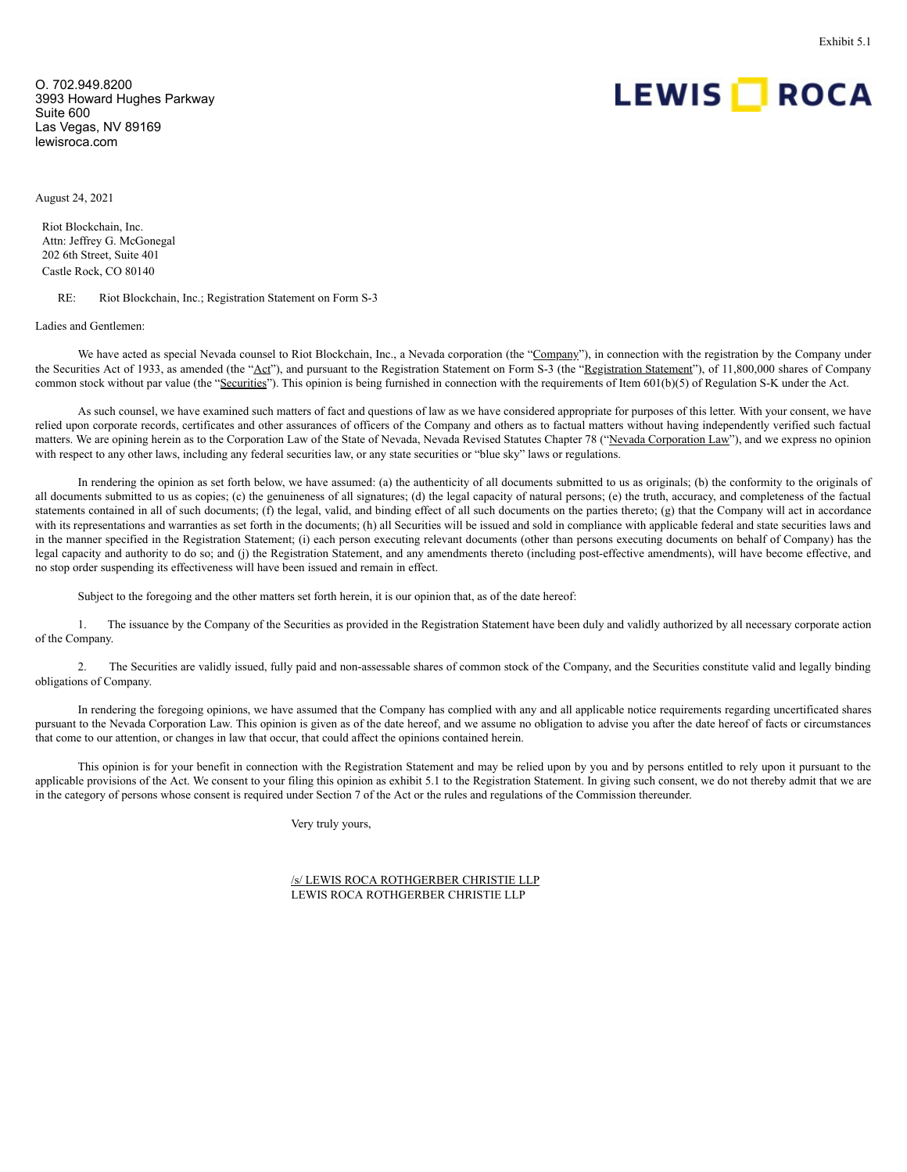O. 702.949.8200 3993 Howard Hughes Parkway Suite 600 Las Vegas, NV 89169 lewisroca.com

Exhibit 5.1

August 24, 2021

Riot Blockchain, Inc. Attn: Jeffrey G. McGonegal 202 6th Street, Suite 401 Castle Rock, CO 80140

RE: Riot Blockchain, Inc.; Registration Statement on Form S-3

Ladies and Gentlemen:

We have acted as special Nevada counsel to Riot Blockchain, Inc., a Nevada corporation (the "Company"), in connection with the registration by the Company under the Securities Act of 1933, as amended (the "Act"), and pursuant to the Registration Statement on Form S-3 (the "Registration Statement"), of 11,800,000 shares of Company common stock without par value (the "Securities"). This opinion is being furnished in connection with the requirements of Item 601(b)(5) of Regulation S-K under the Act.

As such counsel, we have examined such matters of fact and questions of law as we have considered appropriate for purposes of this letter. With your consent, we have relied upon corporate records, certificates and other assurances of officers of the Company and others as to factual matters without having independently verified such factual matters. We are opining herein as to the Corporation Law of the State of Nevada, Nevada Revised Statutes Chapter 78 ("Nevada Corporation Law"), and we express no opinion with respect to any other laws, including any federal securities law, or any state securities or "blue sky" laws or regulations.

In rendering the opinion as set forth below, we have assumed: (a) the authenticity of all documents submitted to us as originals; (b) the conformity to the originals of all documents submitted to us as copies; (c) the genuineness of all signatures; (d) the legal capacity of natural persons; (e) the truth, accuracy, and completeness of the factual statements contained in all of such documents; (f) the legal, valid, and binding effect of all such documents on the parties thereto; (g) that the Company will act in accordance with its representations and warranties as set forth in the documents; (h) all Securities will be issued and sold in compliance with applicable federal and state securities laws and in the manner specified in the Registration Statement; (i) each person executing relevant documents (other than persons executing documents on behalf of Company) has the legal capacity and authority to do so; and (j) the Registration Statement, and any amendments thereto (including post-effective amendments), will have become effective, and no stop order suspending its effectiveness will have been issued and remain in effect.

Subject to the foregoing and the other matters set forth herein, it is our opinion that, as of the date hereof:

1. The issuance by the Company of the Securities as provided in the Registration Statement have been duly and validly authorized by all necessary corporate action of the Company.

2. The Securities are validly issued, fully paid and non-assessable shares of common stock of the Company, and the Securities constitute valid and legally binding obligations of Company.

In rendering the foregoing opinions, we have assumed that the Company has complied with any and all applicable notice requirements regarding uncertificated shares pursuant to the Nevada Corporation Law. This opinion is given as of the date hereof, and we assume no obligation to advise you after the date hereof of facts or circumstances that come to our attention, or changes in law that occur, that could affect the opinions contained herein.

This opinion is for your benefit in connection with the Registration Statement and may be relied upon by you and by persons entitled to rely upon it pursuant to the applicable provisions of the Act. We consent to your filing this opinion as exhibit 5.1 to the Registration Statement. In giving such consent, we do not thereby admit that we are in the category of persons whose consent is required under Section 7 of the Act or the rules and regulations of the Commission thereunder.

Very truly yours,

/s/ LEWIS ROCA ROTHGERBER CHRISTIE LLP LEWIS ROCA ROTHGERBER CHRISTIE LLP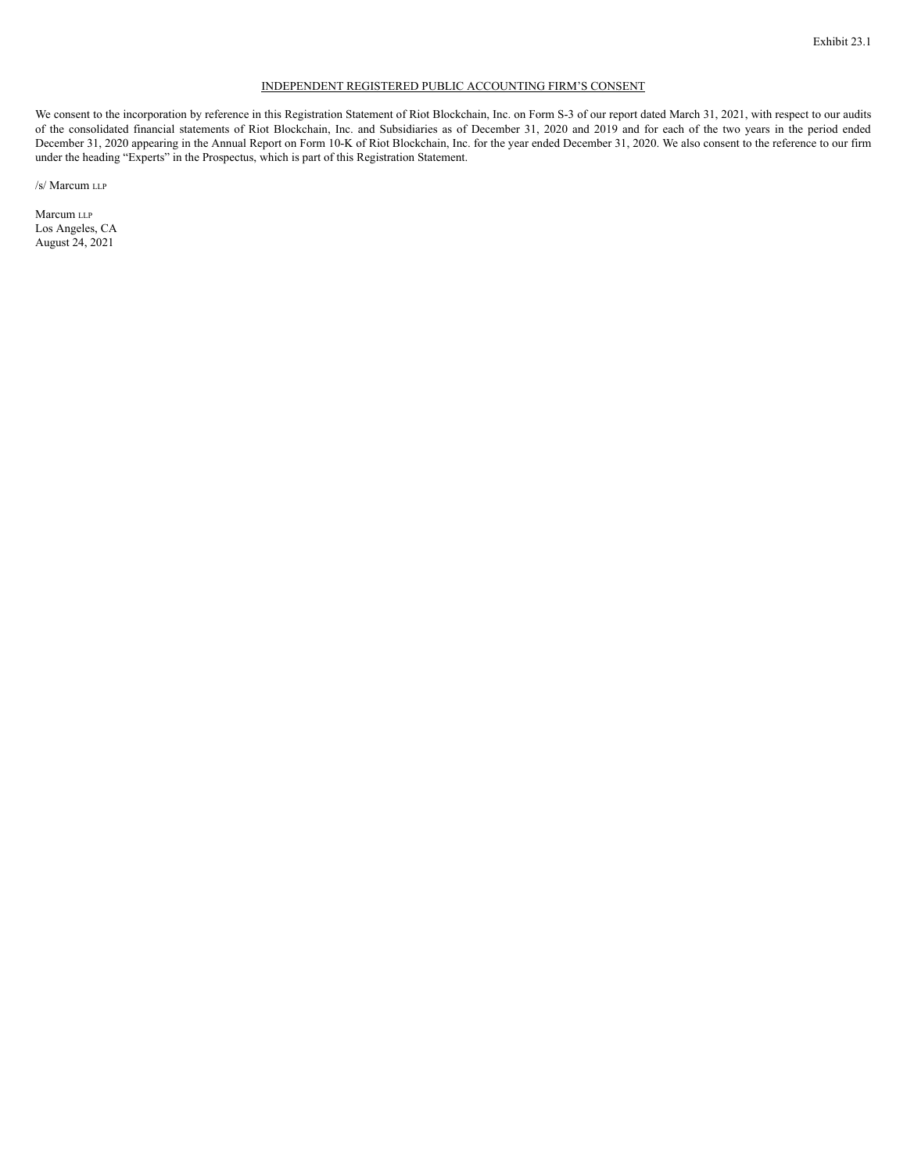## INDEPENDENT REGISTERED PUBLIC ACCOUNTING FIRM'S CONSENT

We consent to the incorporation by reference in this Registration Statement of Riot Blockchain, Inc. on Form S-3 of our report dated March 31, 2021, with respect to our audits of the consolidated financial statements of Riot Blockchain, Inc. and Subsidiaries as of December 31, 2020 and 2019 and for each of the two years in the period ended December 31, 2020 appearing in the Annual Report on Form 10-K of Riot Blockchain, Inc. for the year ended December 31, 2020. We also consent to the reference to our firm under the heading "Experts" in the Prospectus, which is part of this Registration Statement.

/s/ Marcum LLP

Marcum LLP Los Angeles, CA August 24, 2021